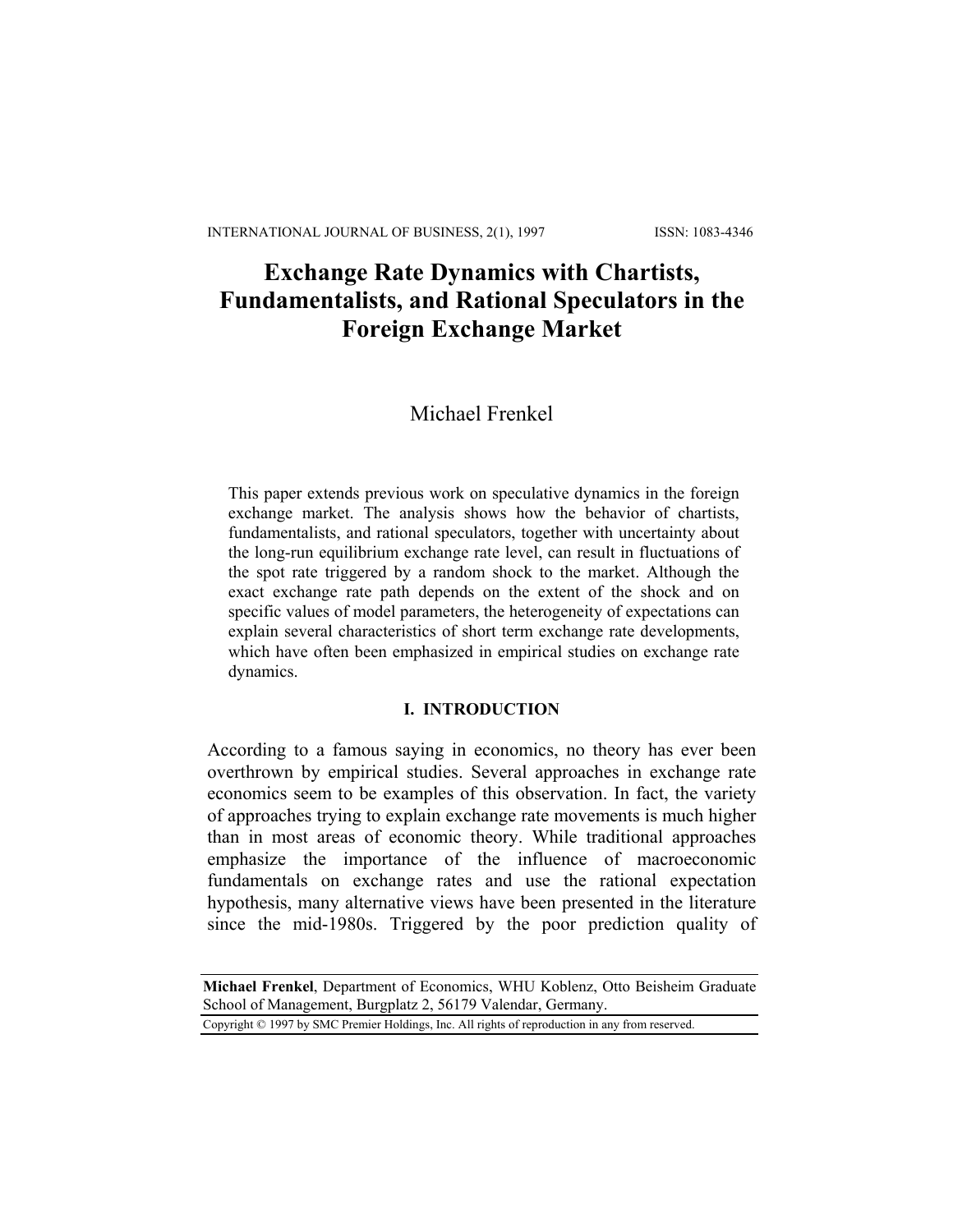# **Exchange Rate Dynamics with Chartists, Fundamentalists, and Rational Speculators in the Foreign Exchange Market**

# Michael Frenkel

This paper extends previous work on speculative dynamics in the foreign exchange market. The analysis shows how the behavior of chartists, fundamentalists, and rational speculators, together with uncertainty about the long-run equilibrium exchange rate level, can result in fluctuations of the spot rate triggered by a random shock to the market. Although the exact exchange rate path depends on the extent of the shock and on specific values of model parameters, the heterogeneity of expectations can explain several characteristics of short term exchange rate developments, which have often been emphasized in empirical studies on exchange rate dynamics.

## **I. INTRODUCTION**

According to a famous saying in economics, no theory has ever been overthrown by empirical studies. Several approaches in exchange rate economics seem to be examples of this observation. In fact, the variety of approaches trying to explain exchange rate movements is much higher than in most areas of economic theory. While traditional approaches emphasize the importance of the influence of macroeconomic fundamentals on exchange rates and use the rational expectation hypothesis, many alternative views have been presented in the literature since the mid-1980s. Triggered by the poor prediction quality of

**Michael Frenkel**, Department of Economics, WHU Koblenz, Otto Beisheim Graduate School of Management, Burgplatz 2, 56179 Valendar, Germany.

Copyright © 1997 by SMC Premier Holdings, Inc. All rights of reproduction in any from reserved.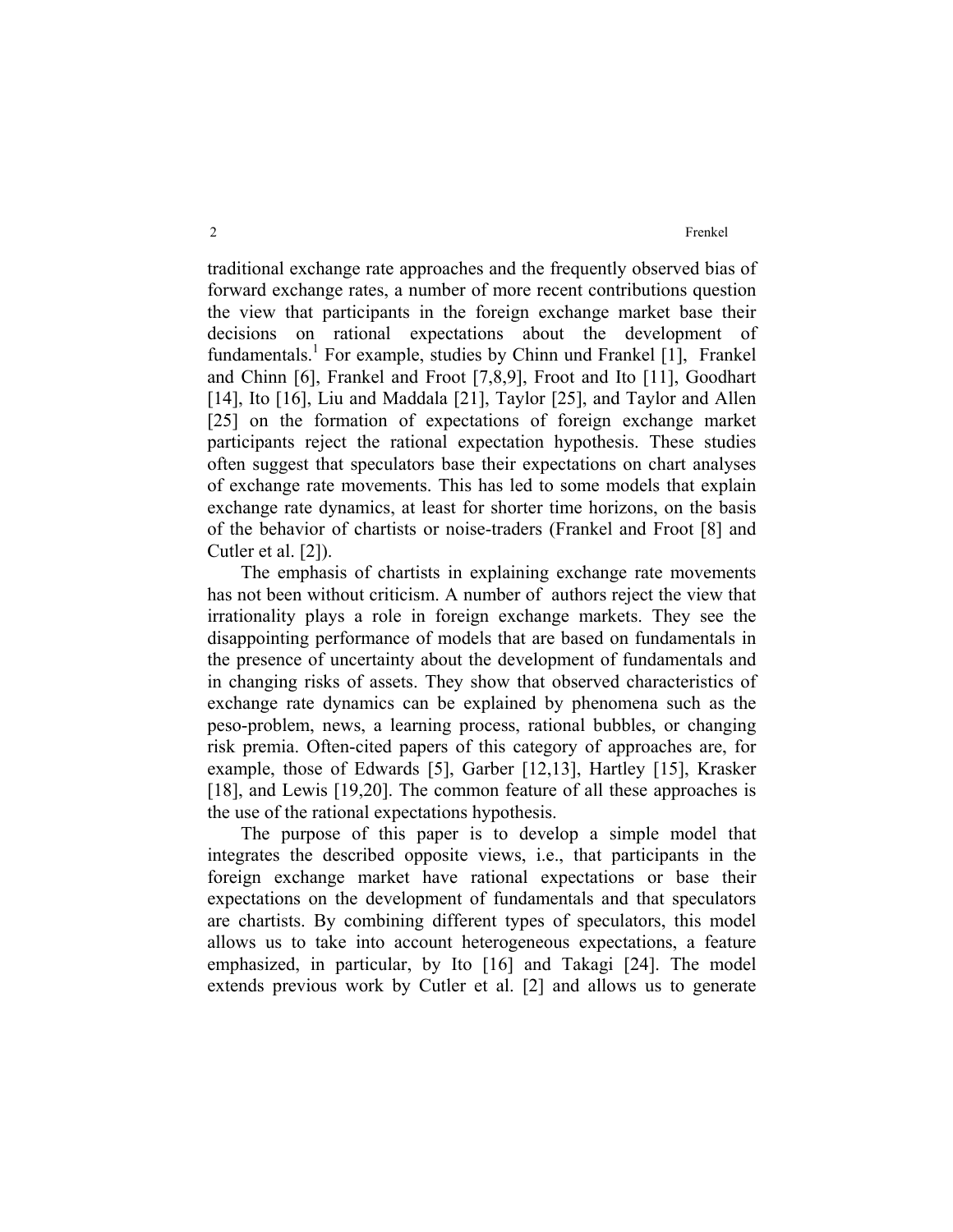2 and 2 Frenkel

traditional exchange rate approaches and the frequently observed bias of forward exchange rates, a number of more recent contributions question the view that participants in the foreign exchange market base their decisions on rational expectations about the development of fundamentals.<sup>1</sup> For example, studies by Chinn und Frankel [1], Frankel and Chinn [6], Frankel and Froot [7,8,9], Froot and Ito [11], Goodhart [14], Ito [16], Liu and Maddala [21], Taylor [25], and Taylor and Allen [25] on the formation of expectations of foreign exchange market participants reject the rational expectation hypothesis. These studies often suggest that speculators base their expectations on chart analyses of exchange rate movements. This has led to some models that explain exchange rate dynamics, at least for shorter time horizons, on the basis of the behavior of chartists or noise-traders (Frankel and Froot [8] and Cutler et al. [2]).

The emphasis of chartists in explaining exchange rate movements has not been without criticism. A number of authors reject the view that irrationality plays a role in foreign exchange markets. They see the disappointing performance of models that are based on fundamentals in the presence of uncertainty about the development of fundamentals and in changing risks of assets. They show that observed characteristics of exchange rate dynamics can be explained by phenomena such as the peso-problem, news, a learning process, rational bubbles, or changing risk premia. Often-cited papers of this category of approaches are, for example, those of Edwards [5], Garber [12,13], Hartley [15], Krasker [18], and Lewis [19,20]. The common feature of all these approaches is the use of the rational expectations hypothesis.

The purpose of this paper is to develop a simple model that integrates the described opposite views, i.e., that participants in the foreign exchange market have rational expectations or base their expectations on the development of fundamentals and that speculators are chartists. By combining different types of speculators, this model allows us to take into account heterogeneous expectations, a feature emphasized, in particular, by Ito [16] and Takagi [24]. The model extends previous work by Cutler et al. [2] and allows us to generate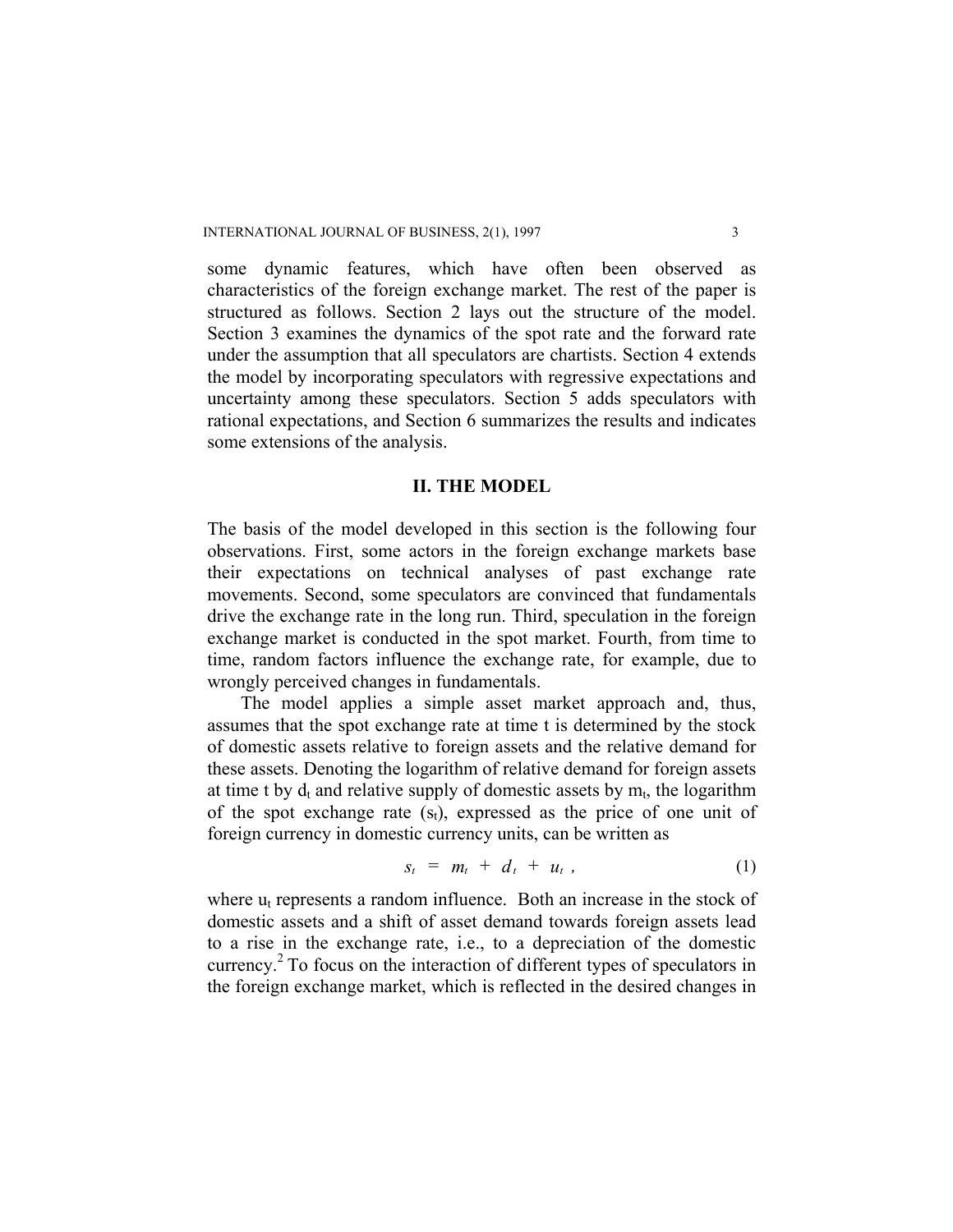some dynamic features, which have often been observed as characteristics of the foreign exchange market. The rest of the paper is structured as follows. Section 2 lays out the structure of the model. Section 3 examines the dynamics of the spot rate and the forward rate under the assumption that all speculators are chartists. Section 4 extends the model by incorporating speculators with regressive expectations and uncertainty among these speculators. Section 5 adds speculators with rational expectations, and Section 6 summarizes the results and indicates some extensions of the analysis.

## **II. THE MODEL**

The basis of the model developed in this section is the following four observations. First, some actors in the foreign exchange markets base their expectations on technical analyses of past exchange rate movements. Second, some speculators are convinced that fundamentals drive the exchange rate in the long run. Third, speculation in the foreign exchange market is conducted in the spot market. Fourth, from time to time, random factors influence the exchange rate, for example, due to wrongly perceived changes in fundamentals.

The model applies a simple asset market approach and, thus, assumes that the spot exchange rate at time t is determined by the stock of domestic assets relative to foreign assets and the relative demand for these assets. Denoting the logarithm of relative demand for foreign assets at time t by  $d_t$  and relative supply of domestic assets by  $m_t$ , the logarithm of the spot exchange rate  $(s_t)$ , expressed as the price of one unit of foreign currency in domestic currency units, can be written as

$$
s_t = m_t + d_t + u_t, \qquad (1)
$$

where  $u_t$  represents a random influence. Both an increase in the stock of domestic assets and a shift of asset demand towards foreign assets lead to a rise in the exchange rate, i.e., to a depreciation of the domestic currency.2 To focus on the interaction of different types of speculators in the foreign exchange market, which is reflected in the desired changes in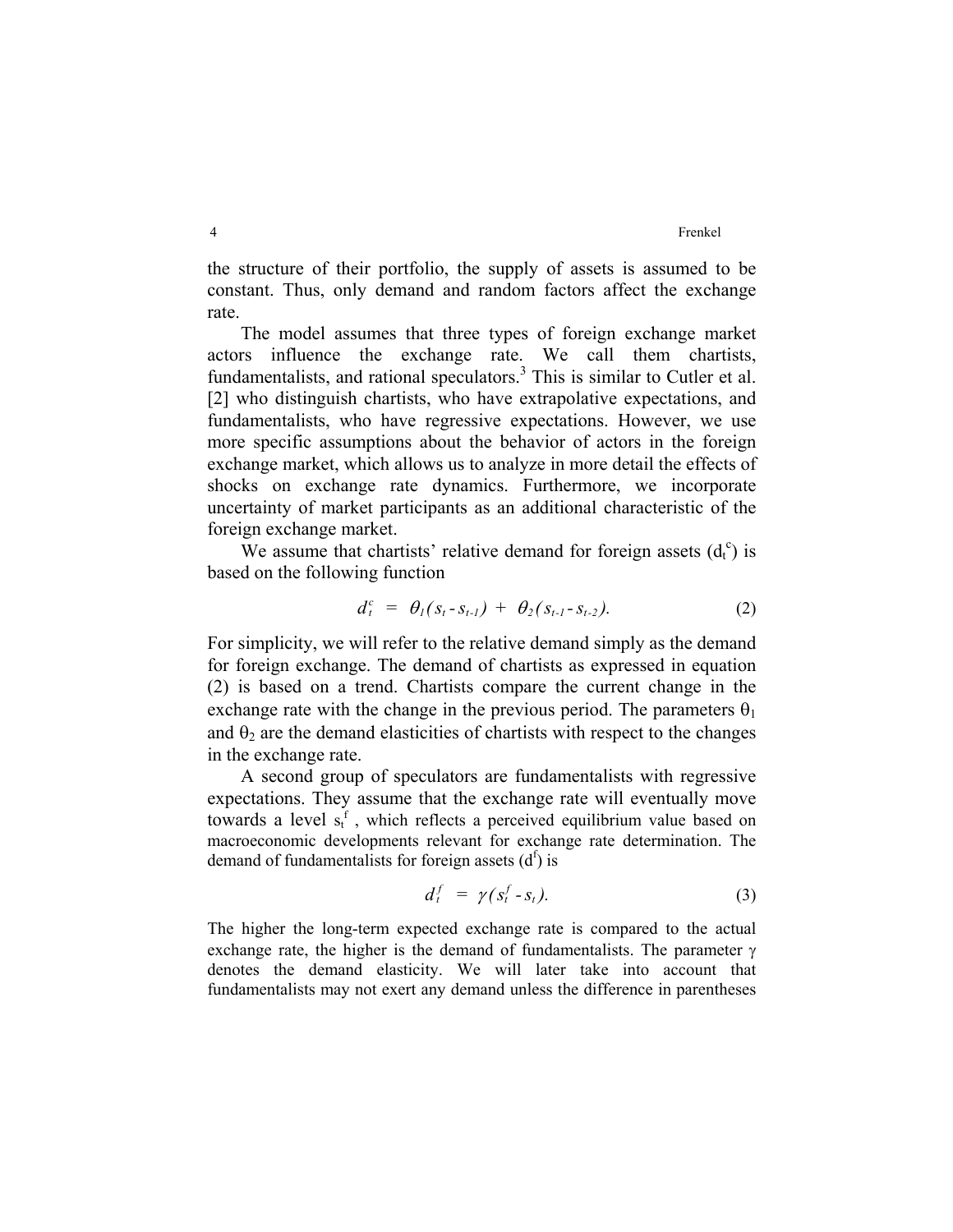the structure of their portfolio, the supply of assets is assumed to be constant. Thus, only demand and random factors affect the exchange rate.

The model assumes that three types of foreign exchange market actors influence the exchange rate. We call them chartists, fundamentalists, and rational speculators.<sup>3</sup> This is similar to Cutler et al. [2] who distinguish chartists, who have extrapolative expectations, and fundamentalists, who have regressive expectations. However, we use more specific assumptions about the behavior of actors in the foreign exchange market, which allows us to analyze in more detail the effects of shocks on exchange rate dynamics. Furthermore, we incorporate uncertainty of market participants as an additional characteristic of the foreign exchange market.

We assume that chartists' relative demand for foreign assets  $(d_t^c)$  is based on the following function

$$
d_t^c = \theta_l(s_t - s_{t-l}) + \theta_2(s_{t-l} - s_{t-2}). \tag{2}
$$

For simplicity, we will refer to the relative demand simply as the demand for foreign exchange. The demand of chartists as expressed in equation (2) is based on a trend. Chartists compare the current change in the exchange rate with the change in the previous period. The parameters  $\theta_1$ and  $\theta_2$  are the demand elasticities of chartists with respect to the changes in the exchange rate.

A second group of speculators are fundamentalists with regressive expectations. They assume that the exchange rate will eventually move towards a level  $s_t^f$ , which reflects a perceived equilibrium value based on macroeconomic developments relevant for exchange rate determination. The demand of fundamentalists for foreign assets  $(d<sup>f</sup>)$  is

$$
d_t^f = \gamma(s_t^f - s_t). \tag{3}
$$

The higher the long-term expected exchange rate is compared to the actual exchange rate, the higher is the demand of fundamentalists. The parameter  $\gamma$ denotes the demand elasticity. We will later take into account that fundamentalists may not exert any demand unless the difference in parentheses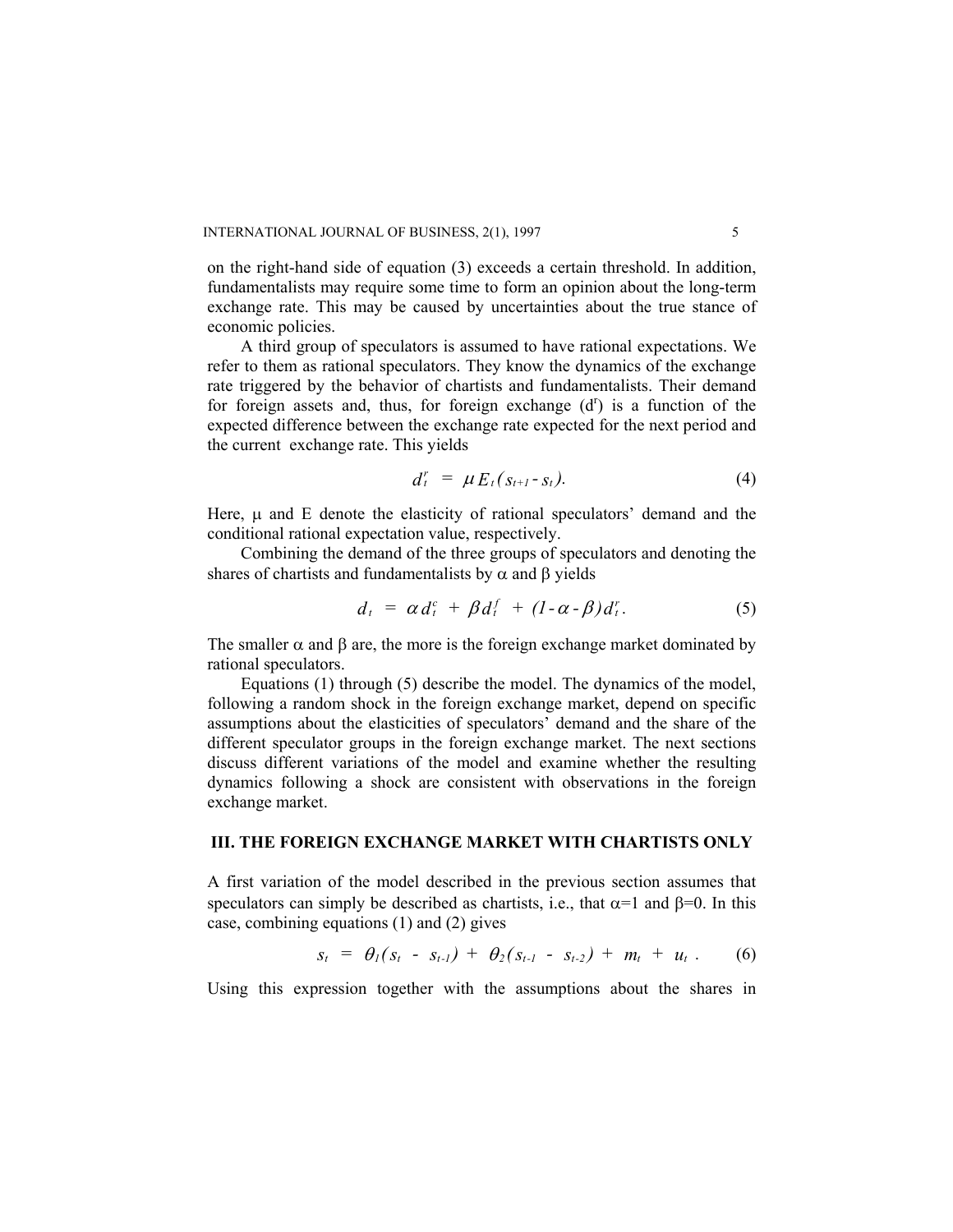on the right-hand side of equation (3) exceeds a certain threshold. In addition, fundamentalists may require some time to form an opinion about the long-term exchange rate. This may be caused by uncertainties about the true stance of economic policies.

A third group of speculators is assumed to have rational expectations. We refer to them as rational speculators. They know the dynamics of the exchange rate triggered by the behavior of chartists and fundamentalists. Their demand for foreign assets and, thus, for foreign exchange  $(d<sup>r</sup>)$  is a function of the expected difference between the exchange rate expected for the next period and the current exchange rate. This yields

$$
d_t^r = \mu E_t (s_{t+1} - s_t). \tag{4}
$$

Here,  $\mu$  and E denote the elasticity of rational speculators' demand and the conditional rational expectation value, respectively.

Combining the demand of the three groups of speculators and denoting the shares of chartists and fundamentalists by  $\alpha$  and  $\beta$  yields

$$
d_t = \alpha d_t^c + \beta d_t^f + (1 - \alpha - \beta) d_t^r. \tag{5}
$$

The smaller  $\alpha$  and  $\beta$  are, the more is the foreign exchange market dominated by rational speculators.

Equations (1) through (5) describe the model. The dynamics of the model, following a random shock in the foreign exchange market, depend on specific assumptions about the elasticities of speculators' demand and the share of the different speculator groups in the foreign exchange market. The next sections discuss different variations of the model and examine whether the resulting dynamics following a shock are consistent with observations in the foreign exchange market.

#### **III. THE FOREIGN EXCHANGE MARKET WITH CHARTISTS ONLY**

A first variation of the model described in the previous section assumes that speculators can simply be described as chartists, i.e., that  $\alpha=1$  and  $\beta=0$ . In this case, combining equations (1) and (2) gives

$$
s_t = \theta_l(s_t - s_{t-l}) + \theta_2(s_{t-l} - s_{t-2}) + m_t + u_t. \qquad (6)
$$

Using this expression together with the assumptions about the shares in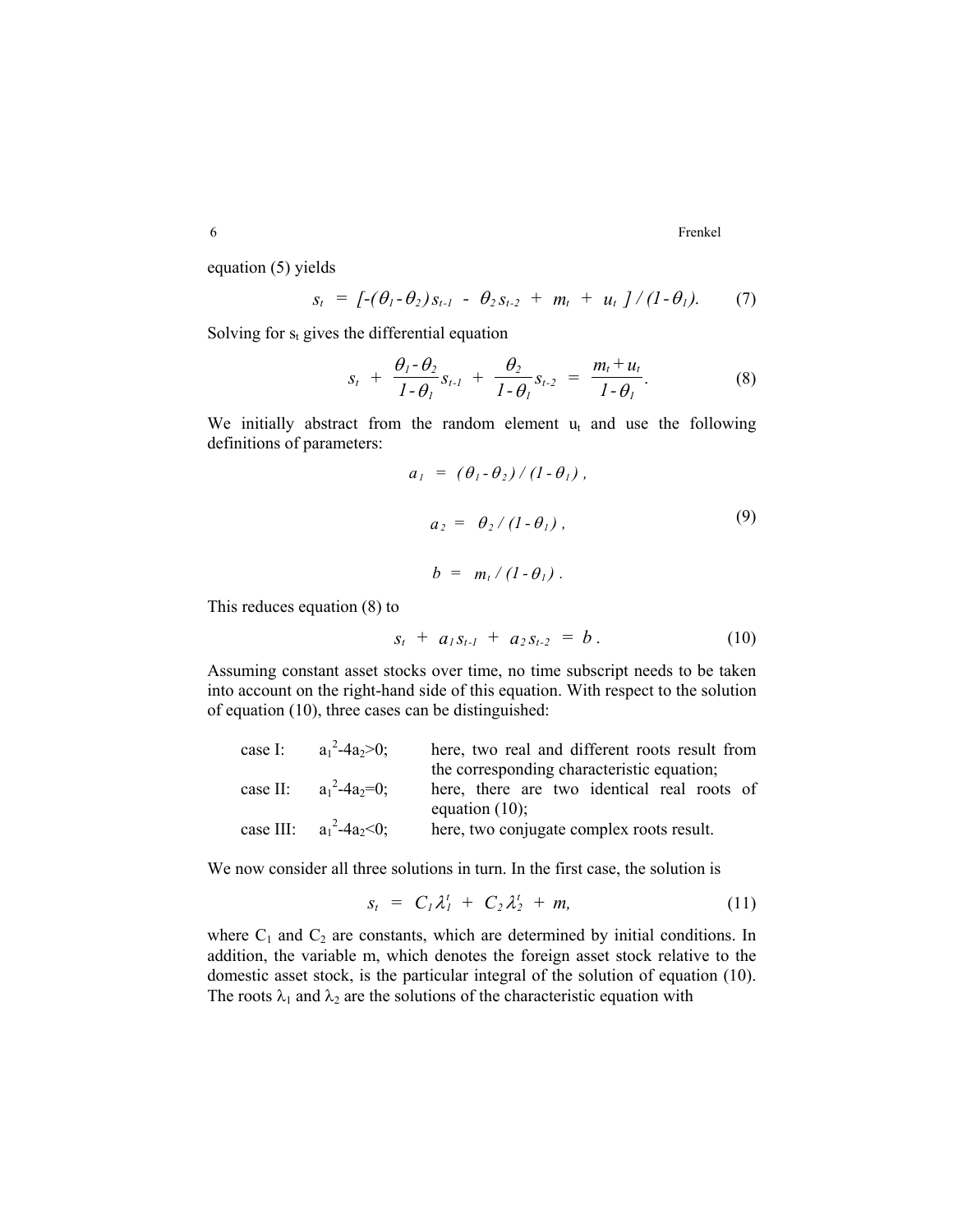equation (5) yields

$$
s_t = [-(\theta_1 - \theta_2)s_{t-1} - \theta_2 s_{t-2} + m_t + u_t]/(1-\theta_1).
$$
 (7)

Solving for  $s_t$  gives the differential equation

$$
s_t + \frac{\theta_l - \theta_2}{l - \theta_l} s_{t-l} + \frac{\theta_2}{l - \theta_l} s_{t-2} = \frac{m_t + u_t}{l - \theta_l}.
$$
 (8)

We initially abstract from the random element  $u_t$  and use the following definitions of parameters:

$$
a_1 = (\theta_1 - \theta_2) / (1 - \theta_1),
$$
  
\n
$$
a_2 = \theta_2 / (1 - \theta_1),
$$
  
\n
$$
b = m_t / (1 - \theta_1).
$$
  
\n(9)

This reduces equation (8) to

$$
s_t + a_1 s_{t-1} + a_2 s_{t-2} = b. \qquad (10)
$$

Assuming constant asset stocks over time, no time subscript needs to be taken into account on the right-hand side of this equation. With respect to the solution of equation (10), three cases can be distinguished:

| case I: | $a_1^2 - 4a_2 > 0$ ;           | here, two real and different roots result from |
|---------|--------------------------------|------------------------------------------------|
|         |                                | the corresponding characteristic equation;     |
|         | case II: $a_1^2-4a_2=0$ ;      | here, there are two identical real roots of    |
|         |                                | equation $(10)$ ;                              |
|         | case III: $a_1^2 - 4a_2 < 0$ ; | here, two conjugate complex roots result.      |

We now consider all three solutions in turn. In the first case, the solution is

$$
s_t = C_1 \lambda_1^t + C_2 \lambda_2^t + m, \qquad (11)
$$

where  $C_1$  and  $C_2$  are constants, which are determined by initial conditions. In addition, the variable m, which denotes the foreign asset stock relative to the domestic asset stock, is the particular integral of the solution of equation (10). The roots  $\lambda_1$  and  $\lambda_2$  are the solutions of the characteristic equation with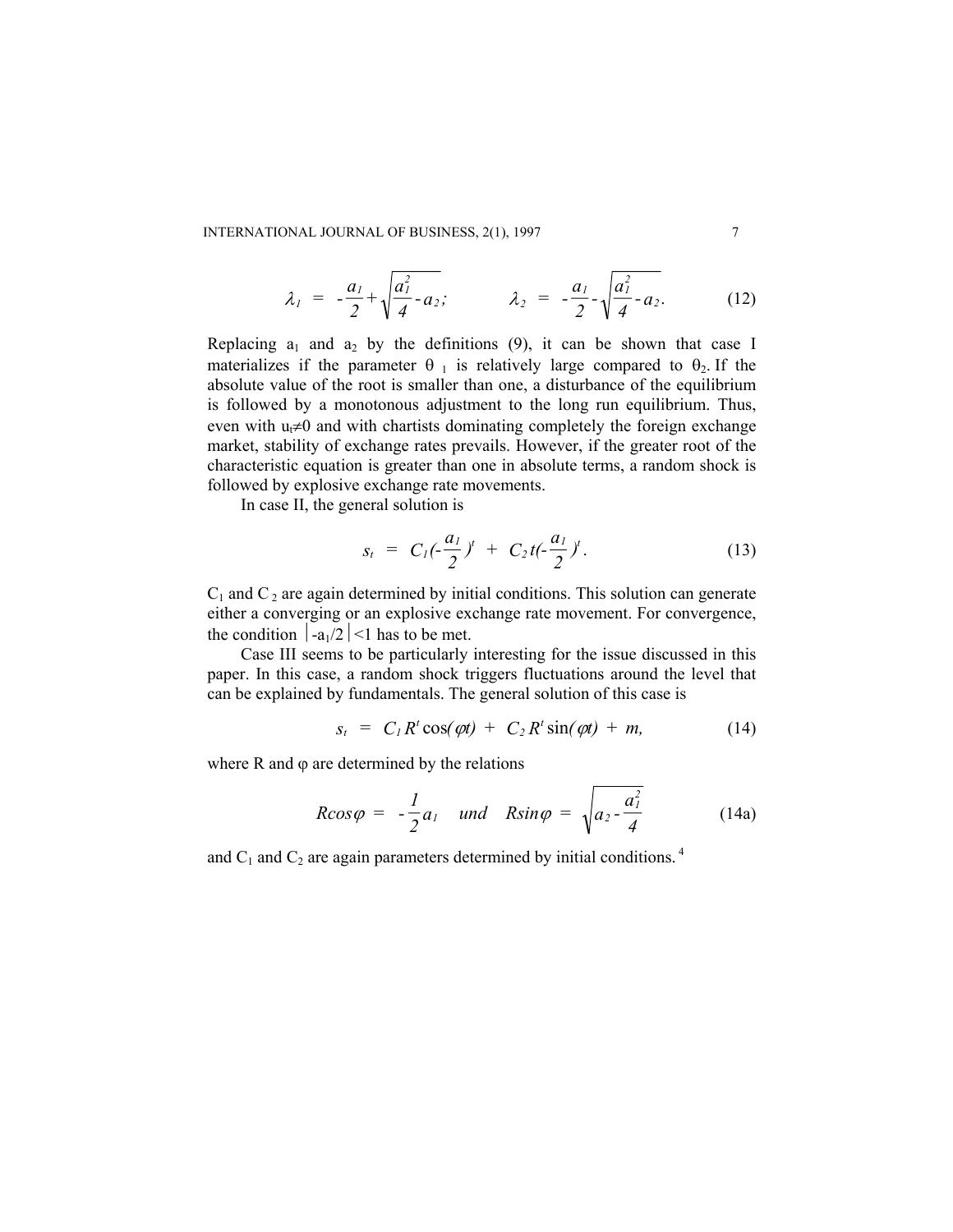INTERNATIONAL JOURNAL OF BUSINESS, 2(1), 1997 7

$$
\lambda_1 = -\frac{a_1}{2} + \sqrt{\frac{a_1^2}{4} - a_2}; \qquad \lambda_2 = -\frac{a_1}{2} - \sqrt{\frac{a_1^2}{4} - a_2}. \qquad (12)
$$

Replacing  $a_1$  and  $a_2$  by the definitions (9), it can be shown that case I materializes if the parameter  $\theta_1$  is relatively large compared to  $\theta_2$ . If the absolute value of the root is smaller than one, a disturbance of the equilibrium is followed by a monotonous adjustment to the long run equilibrium. Thus, even with  $u_t \neq 0$  and with chartists dominating completely the foreign exchange market, stability of exchange rates prevails. However, if the greater root of the characteristic equation is greater than one in absolute terms, a random shock is followed by explosive exchange rate movements.

In case II, the general solution is

$$
s_t = C_1(-\frac{a_1}{2})^t + C_2t(-\frac{a_1}{2})^t.
$$
 (13)

 $C_1$  and  $C_2$  are again determined by initial conditions. This solution can generate either a converging or an explosive exchange rate movement. For convergence, the condition  $|{-a_1/2}| < 1$  has to be met.

Case III seems to be particularly interesting for the issue discussed in this paper. In this case, a random shock triggers fluctuations around the level that can be explained by fundamentals. The general solution of this case is

$$
s_t = C_1 R^t \cos(\varphi t) + C_2 R^t \sin(\varphi t) + m, \qquad (14)
$$

where R and  $\varphi$  are determined by the relations

$$
R\cos\varphi = -\frac{1}{2}a_1 \quad \text{und} \quad R\sin\varphi = \sqrt{a_2 - \frac{a_1^2}{4}} \tag{14a}
$$

and  $C_1$  and  $C_2$  are again parameters determined by initial conditions.<sup>4</sup>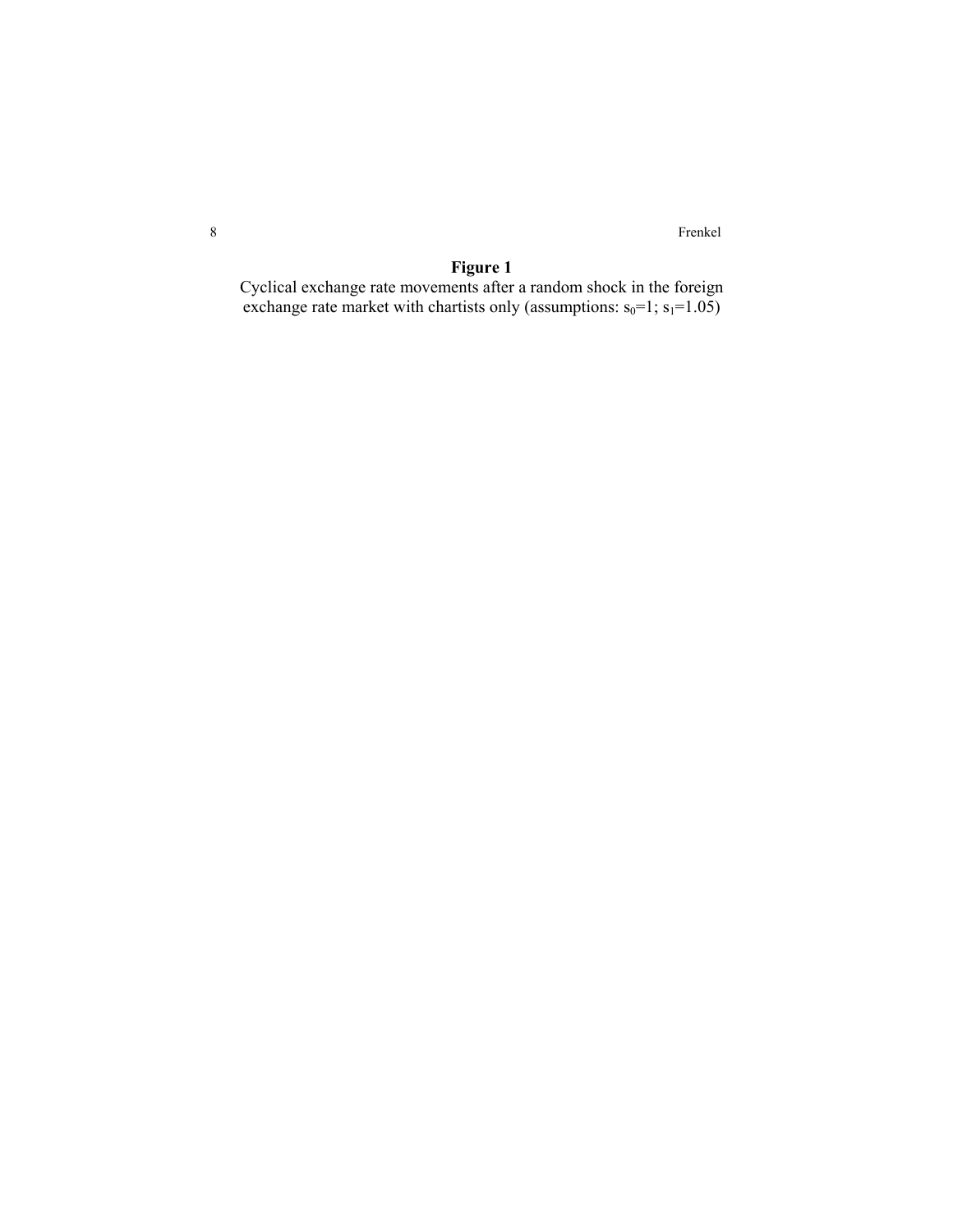## **Figure 1**

Cyclical exchange rate movements after a random shock in the foreign exchange rate market with chartists only (assumptions:  $s_0=1$ ;  $s_1=1.05$ )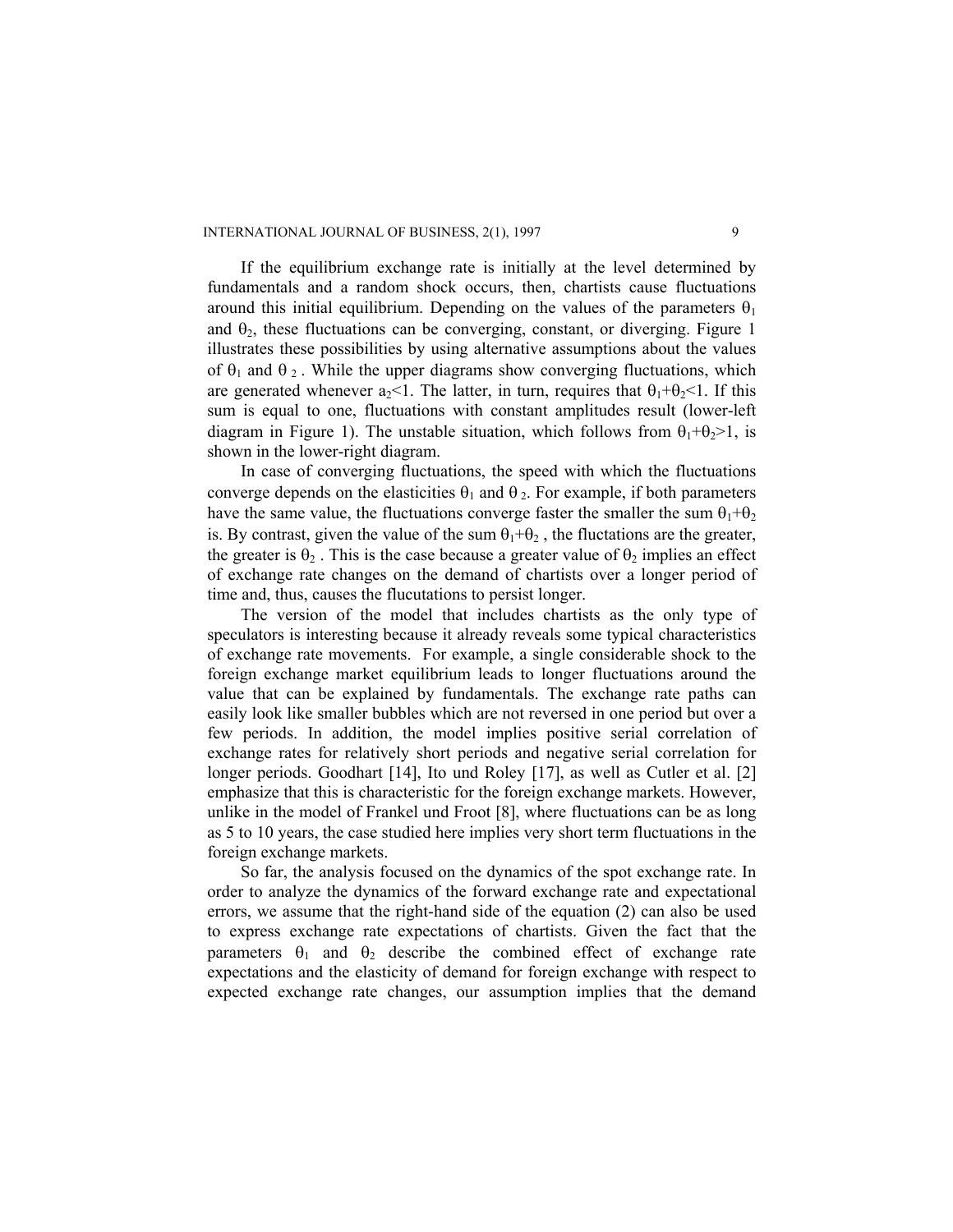#### INTERNATIONAL JOURNAL OF BUSINESS, 2(1), 1997 9

If the equilibrium exchange rate is initially at the level determined by fundamentals and a random shock occurs, then, chartists cause fluctuations around this initial equilibrium. Depending on the values of the parameters  $\theta_1$ and  $\theta_2$ , these fluctuations can be converging, constant, or diverging. Figure 1 illustrates these possibilities by using alternative assumptions about the values of  $\theta_1$  and  $\theta_2$ . While the upper diagrams show converging fluctuations, which are generated whenever  $a_2$ <1. The latter, in turn, requires that  $\theta_1 + \theta_2$ <1. If this sum is equal to one, fluctuations with constant amplitudes result (lower-left diagram in Figure 1). The unstable situation, which follows from  $\theta_1 + \theta_2 > 1$ , is shown in the lower-right diagram.

In case of converging fluctuations, the speed with which the fluctuations converge depends on the elasticities  $\theta_1$  and  $\theta_2$ . For example, if both parameters have the same value, the fluctuations converge faster the smaller the sum  $\theta_1 + \theta_2$ is. By contrast, given the value of the sum  $\theta_1 + \theta_2$ , the fluctations are the greater, the greater is  $\theta_2$ . This is the case because a greater value of  $\theta_2$  implies an effect of exchange rate changes on the demand of chartists over a longer period of time and, thus, causes the flucutations to persist longer.

The version of the model that includes chartists as the only type of speculators is interesting because it already reveals some typical characteristics of exchange rate movements. For example, a single considerable shock to the foreign exchange market equilibrium leads to longer fluctuations around the value that can be explained by fundamentals. The exchange rate paths can easily look like smaller bubbles which are not reversed in one period but over a few periods. In addition, the model implies positive serial correlation of exchange rates for relatively short periods and negative serial correlation for longer periods. Goodhart [14], Ito und Roley [17], as well as Cutler et al. [2] emphasize that this is characteristic for the foreign exchange markets. However, unlike in the model of Frankel und Froot [8], where fluctuations can be as long as 5 to 10 years, the case studied here implies very short term fluctuations in the foreign exchange markets.

So far, the analysis focused on the dynamics of the spot exchange rate. In order to analyze the dynamics of the forward exchange rate and expectational errors, we assume that the right-hand side of the equation (2) can also be used to express exchange rate expectations of chartists. Given the fact that the parameters  $\theta_1$  and  $\theta_2$  describe the combined effect of exchange rate expectations and the elasticity of demand for foreign exchange with respect to expected exchange rate changes, our assumption implies that the demand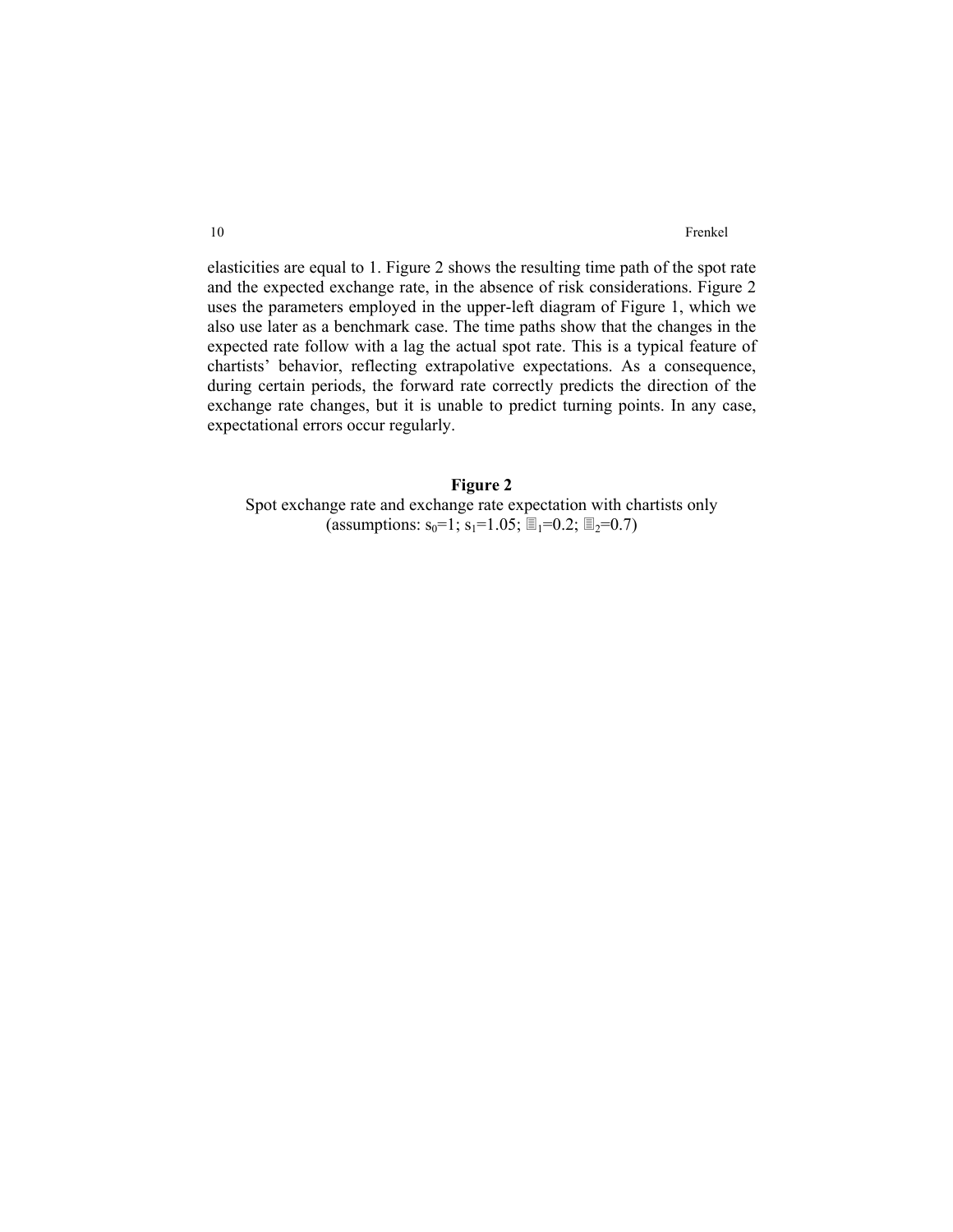elasticities are equal to 1. Figure 2 shows the resulting time path of the spot rate and the expected exchange rate, in the absence of risk considerations. Figure 2 uses the parameters employed in the upper-left diagram of Figure 1, which we also use later as a benchmark case. The time paths show that the changes in the expected rate follow with a lag the actual spot rate. This is a typical feature of chartists' behavior, reflecting extrapolative expectations. As a consequence, during certain periods, the forward rate correctly predicts the direction of the exchange rate changes, but it is unable to predict turning points. In any case, expectational errors occur regularly.

#### **Figure 2**

Spot exchange rate and exchange rate expectation with chartists only (assumptions:  $s_0=1$ ;  $s_1=1.05$ ;  $\mathbb{I}_1=0.2$ ;  $\mathbb{I}_2=0.7$ )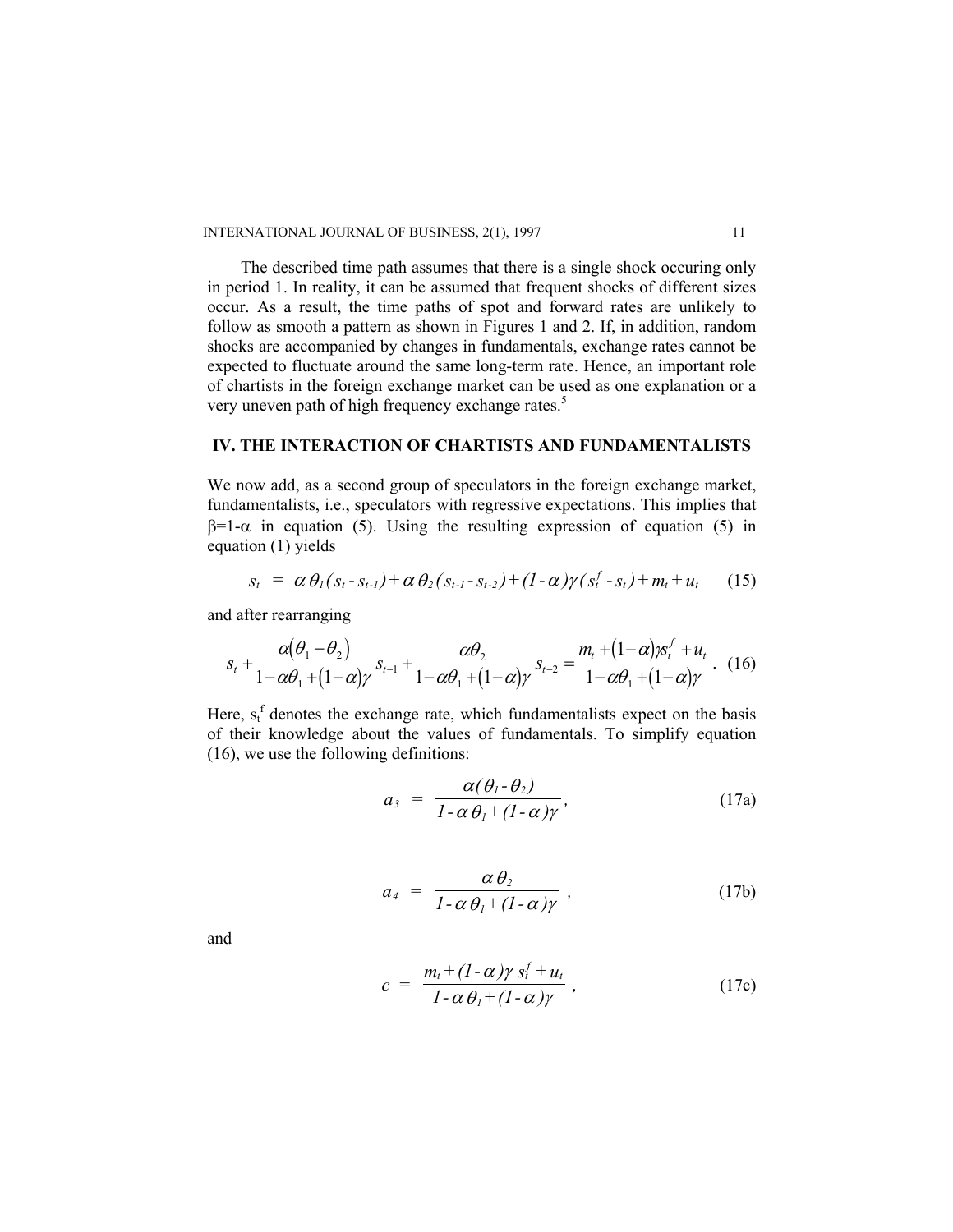The described time path assumes that there is a single shock occuring only in period 1. In reality, it can be assumed that frequent shocks of different sizes occur. As a result, the time paths of spot and forward rates are unlikely to follow as smooth a pattern as shown in Figures 1 and 2. If, in addition, random shocks are accompanied by changes in fundamentals, exchange rates cannot be expected to fluctuate around the same long-term rate. Hence, an important role of chartists in the foreign exchange market can be used as one explanation or a very uneven path of high frequency exchange rates.<sup>5</sup>

#### **IV. THE INTERACTION OF CHARTISTS AND FUNDAMENTALISTS**

We now add, as a second group of speculators in the foreign exchange market, fundamentalists, i.e., speculators with regressive expectations. This implies that  $β=1-α$  in equation (5). Using the resulting expression of equation (5) in equation (1) yields

$$
s_t = \alpha \theta_l (s_t - s_{t-1}) + \alpha \theta_2 (s_{t-1} - s_{t-2}) + (1 - \alpha) \gamma (s_t^f - s_t) + m_t + u_t \qquad (15)
$$

and after rearranging

$$
s_{t} + \frac{\alpha(\theta_{1} - \theta_{2})}{1 - \alpha\theta_{1} + (1 - \alpha)\gamma} s_{t-1} + \frac{\alpha\theta_{2}}{1 - \alpha\theta_{1} + (1 - \alpha)\gamma} s_{t-2} = \frac{m_{t} + (1 - \alpha)\gamma s_{t}^{f} + u_{t}}{1 - \alpha\theta_{1} + (1 - \alpha)\gamma}.
$$
 (16)

Here,  $s_t^f$  denotes the exchange rate, which fundamentalists expect on the basis of their knowledge about the values of fundamentals. To simplify equation (16), we use the following definitions:

$$
a_3 = \frac{\alpha(\theta_1 - \theta_2)}{1 - \alpha \theta_1 + (1 - \alpha)\gamma},
$$
\n(17a)

$$
a_4 = \frac{\alpha \theta_2}{1 - \alpha \theta_1 + (1 - \alpha)\gamma} \,, \tag{17b}
$$

and

$$
c = \frac{m_t + (1 - \alpha)\gamma s_t^f + u_t}{1 - \alpha \theta_t + (1 - \alpha)\gamma}, \qquad (17c)
$$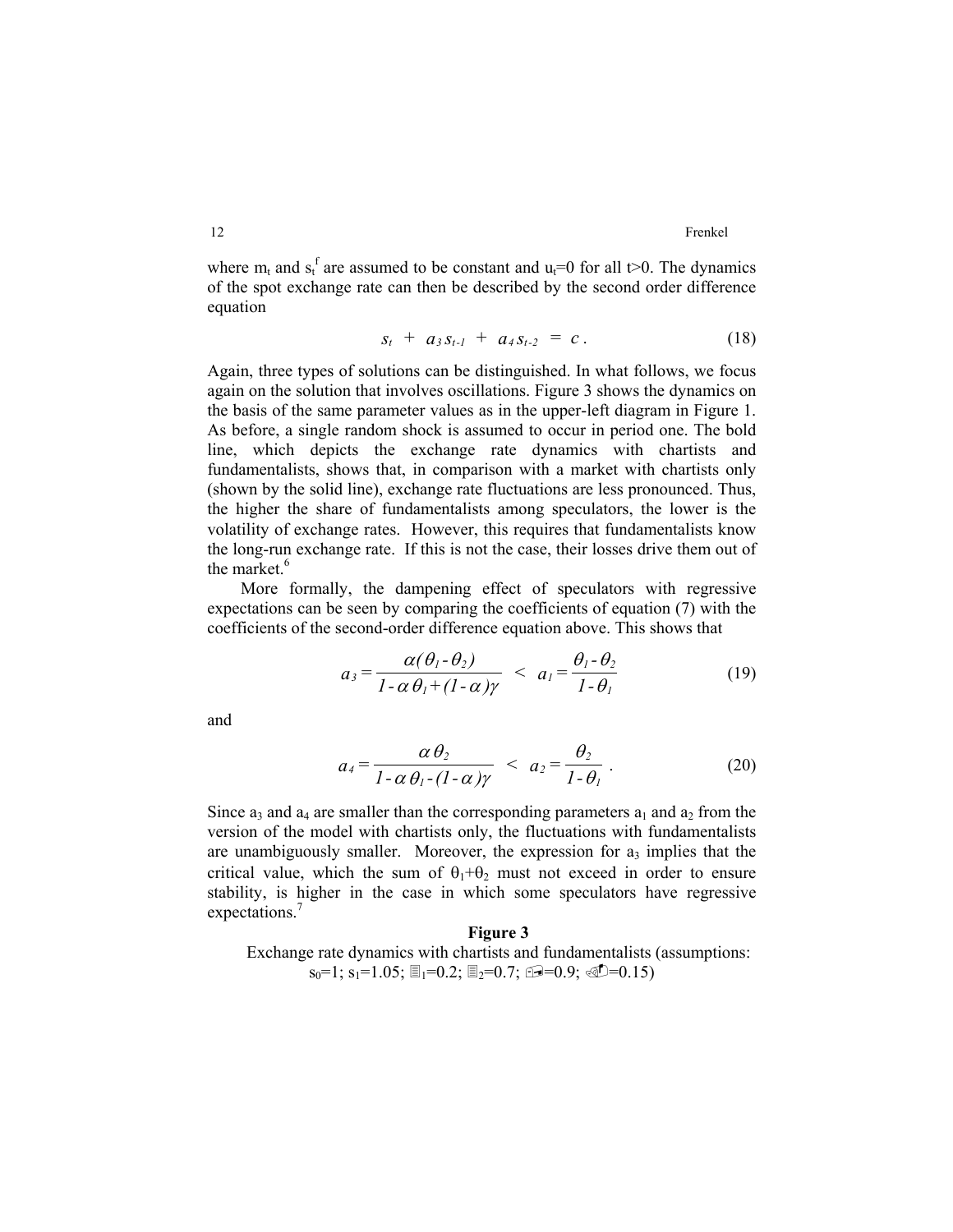where  $m_t$  and  $s_t^f$  are assumed to be constant and  $u_t=0$  for all t>0. The dynamics of the spot exchange rate can then be described by the second order difference equation

$$
s_t + a_3 s_{t-1} + a_4 s_{t-2} = c. \qquad (18)
$$

Again, three types of solutions can be distinguished. In what follows, we focus again on the solution that involves oscillations. Figure 3 shows the dynamics on the basis of the same parameter values as in the upper-left diagram in Figure 1. As before, a single random shock is assumed to occur in period one. The bold line, which depicts the exchange rate dynamics with chartists and fundamentalists, shows that, in comparison with a market with chartists only (shown by the solid line), exchange rate fluctuations are less pronounced. Thus, the higher the share of fundamentalists among speculators, the lower is the volatility of exchange rates. However, this requires that fundamentalists know the long-run exchange rate. If this is not the case, their losses drive them out of the market  $<sup>6</sup>$ </sup>

More formally, the dampening effect of speculators with regressive expectations can be seen by comparing the coefficients of equation (7) with the coefficients of the second-order difference equation above. This shows that

$$
a_3 = \frac{\alpha(\theta_1 - \theta_2)}{1 - \alpha \theta_1 + (1 - \alpha)\gamma} < a_1 = \frac{\theta_1 - \theta_2}{1 - \theta_1} \tag{19}
$$

and

$$
a_4 = \frac{\alpha \theta_2}{1 - \alpha \theta_1 - (1 - \alpha)\gamma} < a_2 = \frac{\theta_2}{1 - \theta_1} \,. \tag{20}
$$

Since  $a_3$  and  $a_4$  are smaller than the corresponding parameters  $a_1$  and  $a_2$  from the version of the model with chartists only, the fluctuations with fundamentalists are unambiguously smaller. Moreover, the expression for  $a_3$  implies that the critical value, which the sum of  $\theta_1 + \theta_2$  must not exceed in order to ensure stability, is higher in the case in which some speculators have regressive expectations.<sup>7</sup>

#### **Figure 3**

Exchange rate dynamics with chartists and fundamentalists (assumptions:  $s_0=1$ ;  $s_1=1.05$ ;  $\equiv_1=0.2$ ;  $\equiv_2=0.7$ ;  $\equiv=0.9$ ;  $\infty=0.15$ )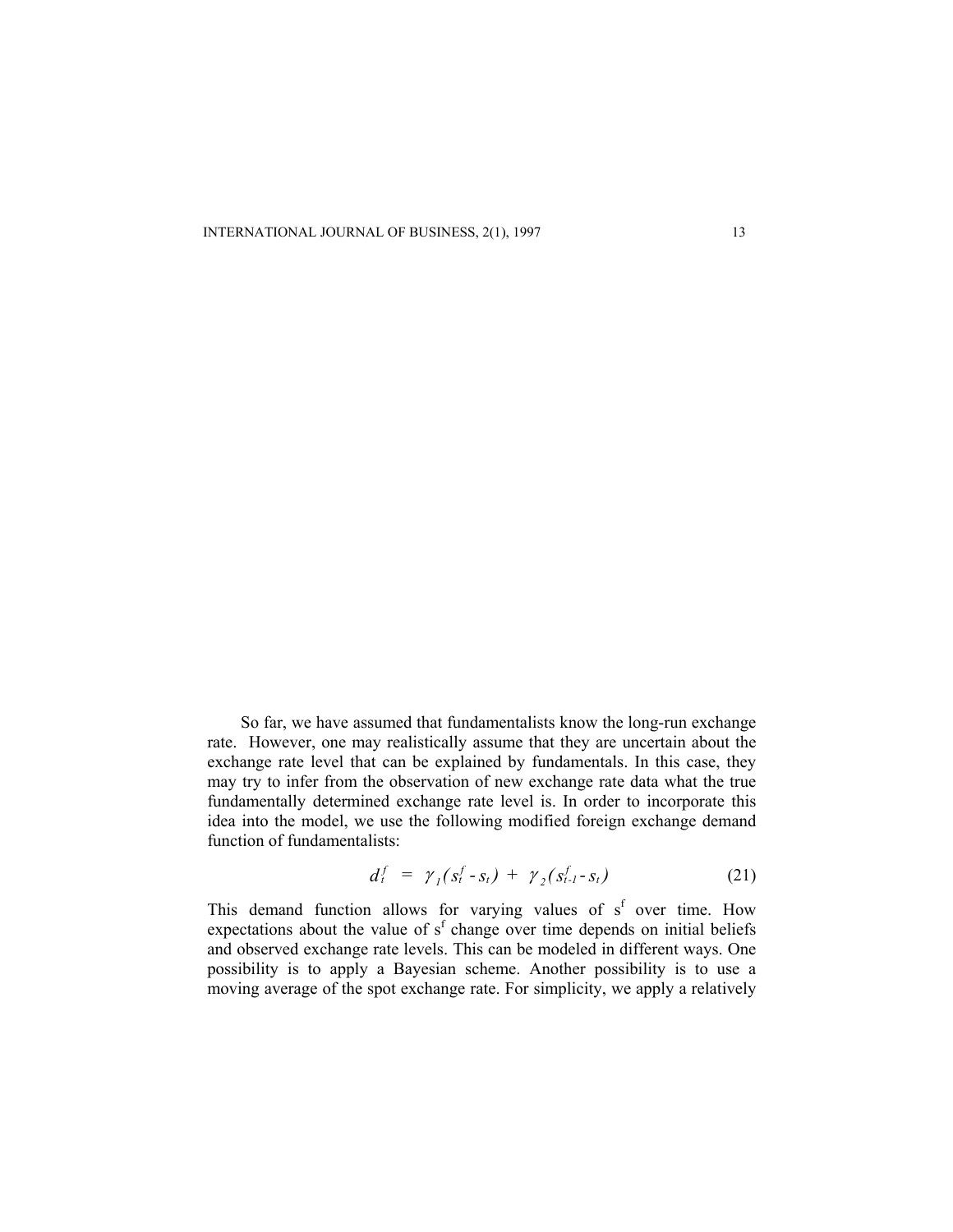So far, we have assumed that fundamentalists know the long-run exchange rate. However, one may realistically assume that they are uncertain about the exchange rate level that can be explained by fundamentals. In this case, they may try to infer from the observation of new exchange rate data what the true fundamentally determined exchange rate level is. In order to incorporate this idea into the model, we use the following modified foreign exchange demand function of fundamentalists:

*f*

$$
d_t^f = \gamma_1(s_t^f - s_t) + \gamma_2(s_{t-1}^f - s_t)
$$
 (21)

This demand function allows for varying values of  $s<sup>f</sup>$  over time. How expectations about the value of  $s<sup>f</sup>$  change over time depends on initial beliefs and observed exchange rate levels. This can be modeled in different ways. One possibility is to apply a Bayesian scheme. Another possibility is to use a moving average of the spot exchange rate. For simplicity, we apply a relatively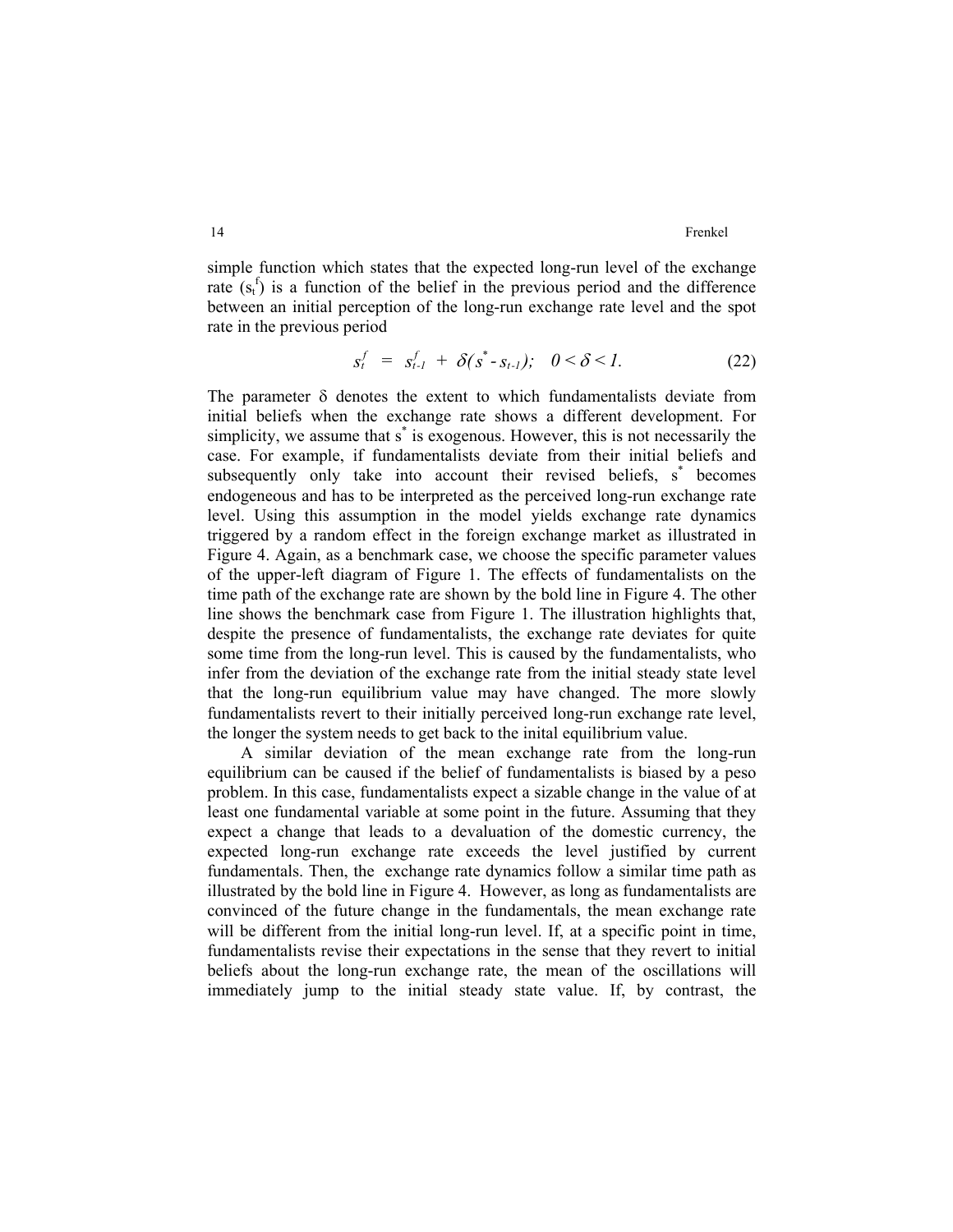simple function which states that the expected long-run level of the exchange rate  $(s_t^f)$  is a function of the belief in the previous period and the difference between an initial perception of the long-run exchange rate level and the spot rate in the previous period

$$
s_t^f = s_{t-1}^f + \delta(s^* - s_{t-1}), \quad 0 < \delta < 1. \tag{22}
$$

The parameter  $\delta$  denotes the extent to which fundamentalists deviate from initial beliefs when the exchange rate shows a different development. For simplicity, we assume that s<sup>\*</sup> is exogenous. However, this is not necessarily the case. For example, if fundamentalists deviate from their initial beliefs and subsequently only take into account their revised beliefs, s<sup>\*</sup> becomes endogeneous and has to be interpreted as the perceived long-run exchange rate level. Using this assumption in the model yields exchange rate dynamics triggered by a random effect in the foreign exchange market as illustrated in Figure 4. Again, as a benchmark case, we choose the specific parameter values of the upper-left diagram of Figure 1. The effects of fundamentalists on the time path of the exchange rate are shown by the bold line in Figure 4. The other line shows the benchmark case from Figure 1. The illustration highlights that, despite the presence of fundamentalists, the exchange rate deviates for quite some time from the long-run level. This is caused by the fundamentalists, who infer from the deviation of the exchange rate from the initial steady state level that the long-run equilibrium value may have changed. The more slowly fundamentalists revert to their initially perceived long-run exchange rate level, the longer the system needs to get back to the inital equilibrium value.

A similar deviation of the mean exchange rate from the long-run equilibrium can be caused if the belief of fundamentalists is biased by a peso problem. In this case, fundamentalists expect a sizable change in the value of at least one fundamental variable at some point in the future. Assuming that they expect a change that leads to a devaluation of the domestic currency, the expected long-run exchange rate exceeds the level justified by current fundamentals. Then, the exchange rate dynamics follow a similar time path as illustrated by the bold line in Figure 4. However, as long as fundamentalists are convinced of the future change in the fundamentals, the mean exchange rate will be different from the initial long-run level. If, at a specific point in time, fundamentalists revise their expectations in the sense that they revert to initial beliefs about the long-run exchange rate, the mean of the oscillations will immediately jump to the initial steady state value. If, by contrast, the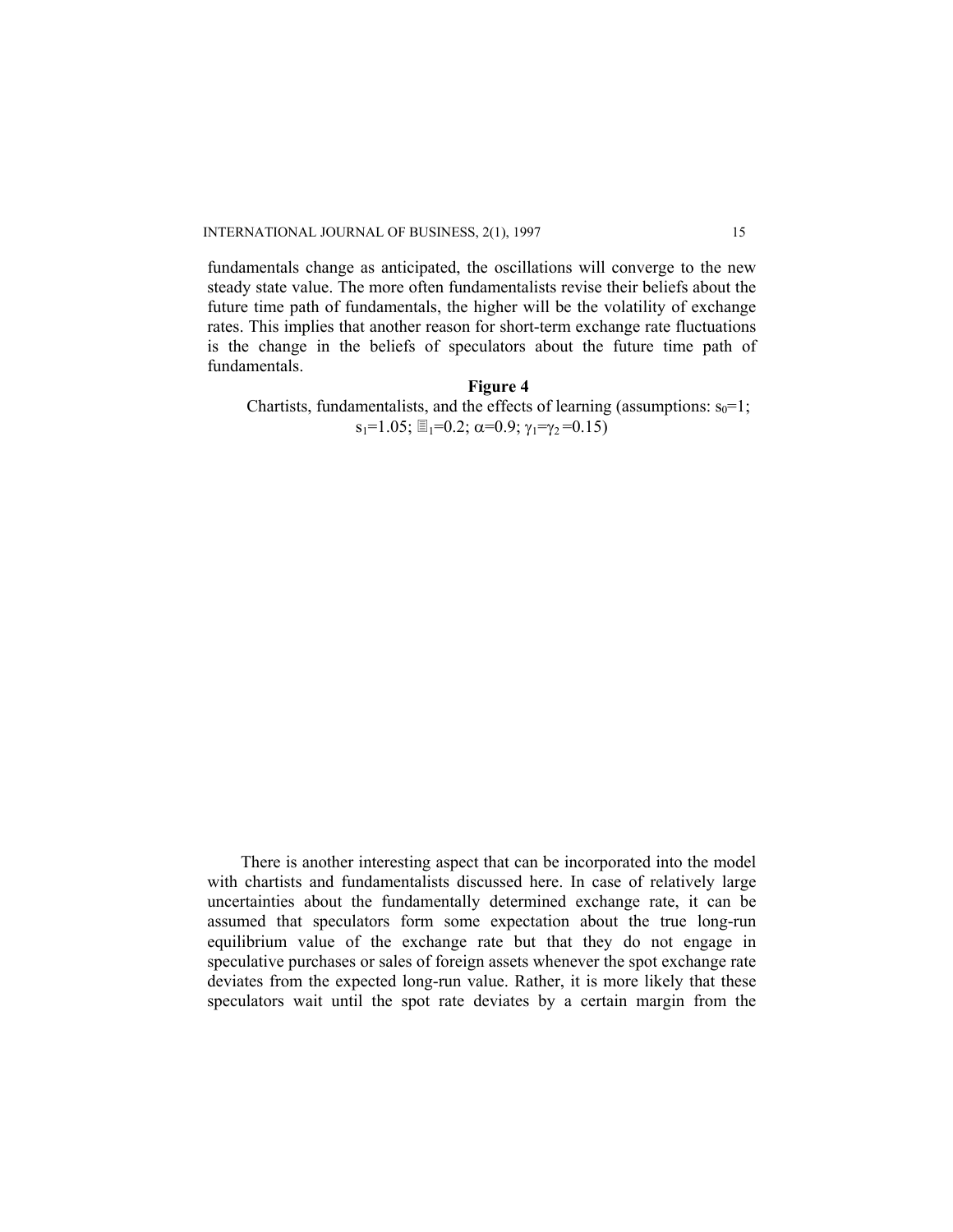fundamentals change as anticipated, the oscillations will converge to the new steady state value. The more often fundamentalists revise their beliefs about the future time path of fundamentals, the higher will be the volatility of exchange rates. This implies that another reason for short-term exchange rate fluctuations is the change in the beliefs of speculators about the future time path of fundamentals.

#### **Figure 4**

Chartists, fundamentalists, and the effects of learning (assumptions:  $s_0=1$ ;  $s_1=1.05$ ;  $\mathbb{I}_1=0.2$ ;  $\alpha=0.9$ ;  $\gamma_1=\gamma_2=0.15$ )

There is another interesting aspect that can be incorporated into the model with chartists and fundamentalists discussed here. In case of relatively large uncertainties about the fundamentally determined exchange rate, it can be assumed that speculators form some expectation about the true long-run equilibrium value of the exchange rate but that they do not engage in speculative purchases or sales of foreign assets whenever the spot exchange rate deviates from the expected long-run value. Rather, it is more likely that these speculators wait until the spot rate deviates by a certain margin from the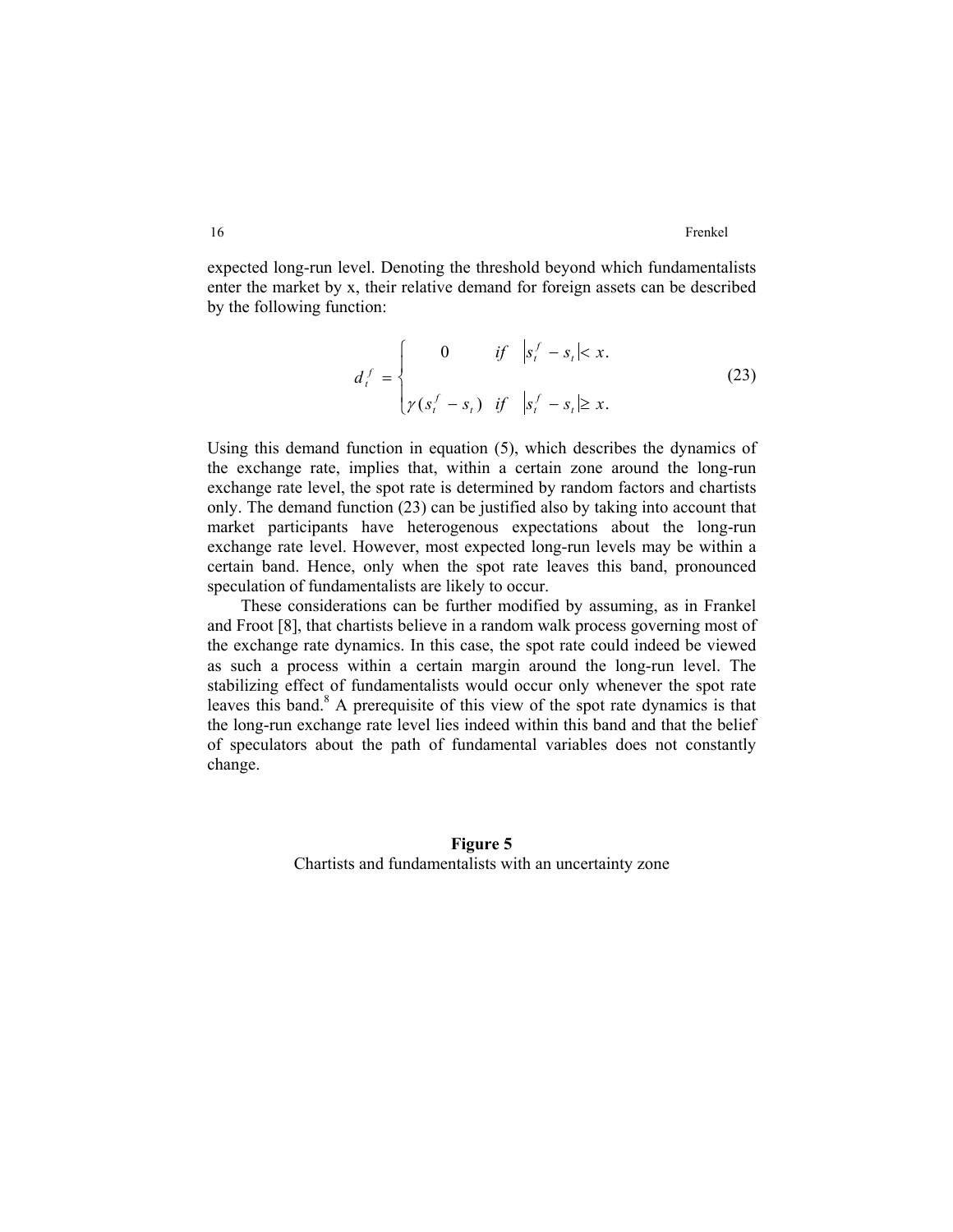expected long-run level. Denoting the threshold beyond which fundamentalists enter the market by x, their relative demand for foreign assets can be described by the following function:

$$
d_t^f = \begin{cases} 0 & \text{if } |s_t^f - s_t| < x. \\ \gamma(s_t^f - s_t) & \text{if } |s_t^f - s_t| \ge x. \end{cases}
$$
 (23)

Using this demand function in equation (5), which describes the dynamics of the exchange rate, implies that, within a certain zone around the long-run exchange rate level, the spot rate is determined by random factors and chartists only. The demand function (23) can be justified also by taking into account that market participants have heterogenous expectations about the long-run exchange rate level. However, most expected long-run levels may be within a certain band. Hence, only when the spot rate leaves this band, pronounced speculation of fundamentalists are likely to occur.

These considerations can be further modified by assuming, as in Frankel and Froot [8], that chartists believe in a random walk process governing most of the exchange rate dynamics. In this case, the spot rate could indeed be viewed as such a process within a certain margin around the long-run level. The stabilizing effect of fundamentalists would occur only whenever the spot rate leaves this band.<sup>8</sup> A prerequisite of this view of the spot rate dynamics is that the long-run exchange rate level lies indeed within this band and that the belief of speculators about the path of fundamental variables does not constantly change.

**Figure 5** Chartists and fundamentalists with an uncertainty zone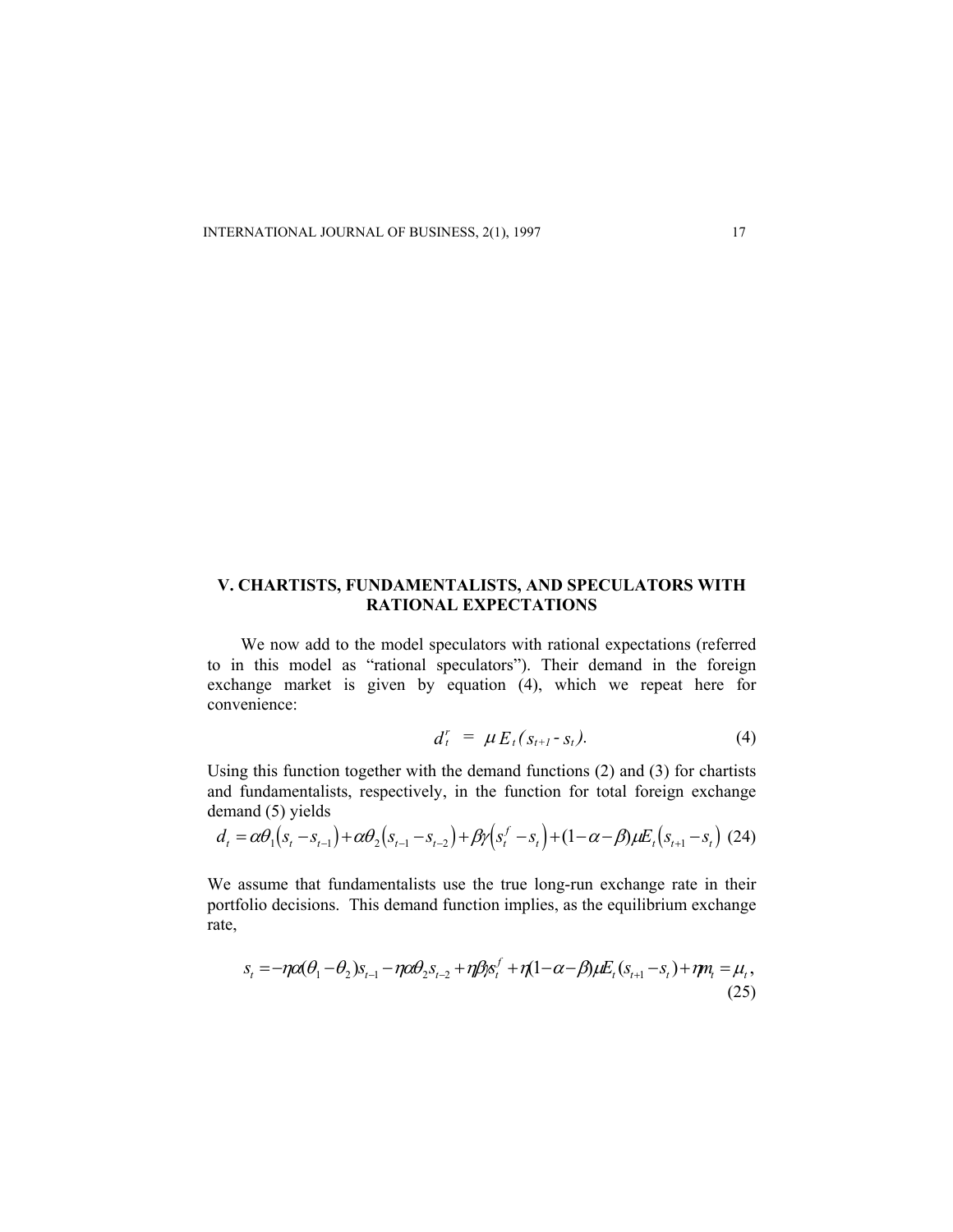## **V. CHARTISTS, FUNDAMENTALISTS, AND SPECULATORS WITH RATIONAL EXPECTATIONS**

We now add to the model speculators with rational expectations (referred to in this model as "rational speculators"). Their demand in the foreign exchange market is given by equation (4), which we repeat here for convenience:

$$
d_t^r = \mu E_t (s_{t+1} - s_t). \tag{4}
$$

Using this function together with the demand functions (2) and (3) for chartists and fundamentalists, respectively, in the function for total foreign exchange demand (5) yields

$$
d_{t} = \alpha \theta_{1}(s_{t} - s_{t-1}) + \alpha \theta_{2}(s_{t-1} - s_{t-2}) + \beta \gamma (s_{t}^{f} - s_{t}) + (1 - \alpha - \beta) \mu E_{t}(s_{t+1} - s_{t})
$$
(24)

We assume that fundamentalists use the true long-run exchange rate in their portfolio decisions. This demand function implies, as the equilibrium exchange rate,

$$
s_{t} = -\eta \alpha (\theta_{1} - \theta_{2}) s_{t-1} - \eta \alpha \theta_{2} s_{t-2} + \eta \beta \beta s_{t}^{f} + \eta (1 - \alpha - \beta) \mu E_{t} (s_{t+1} - s_{t}) + \eta m_{t} = \mu_{t},
$$
\n(25)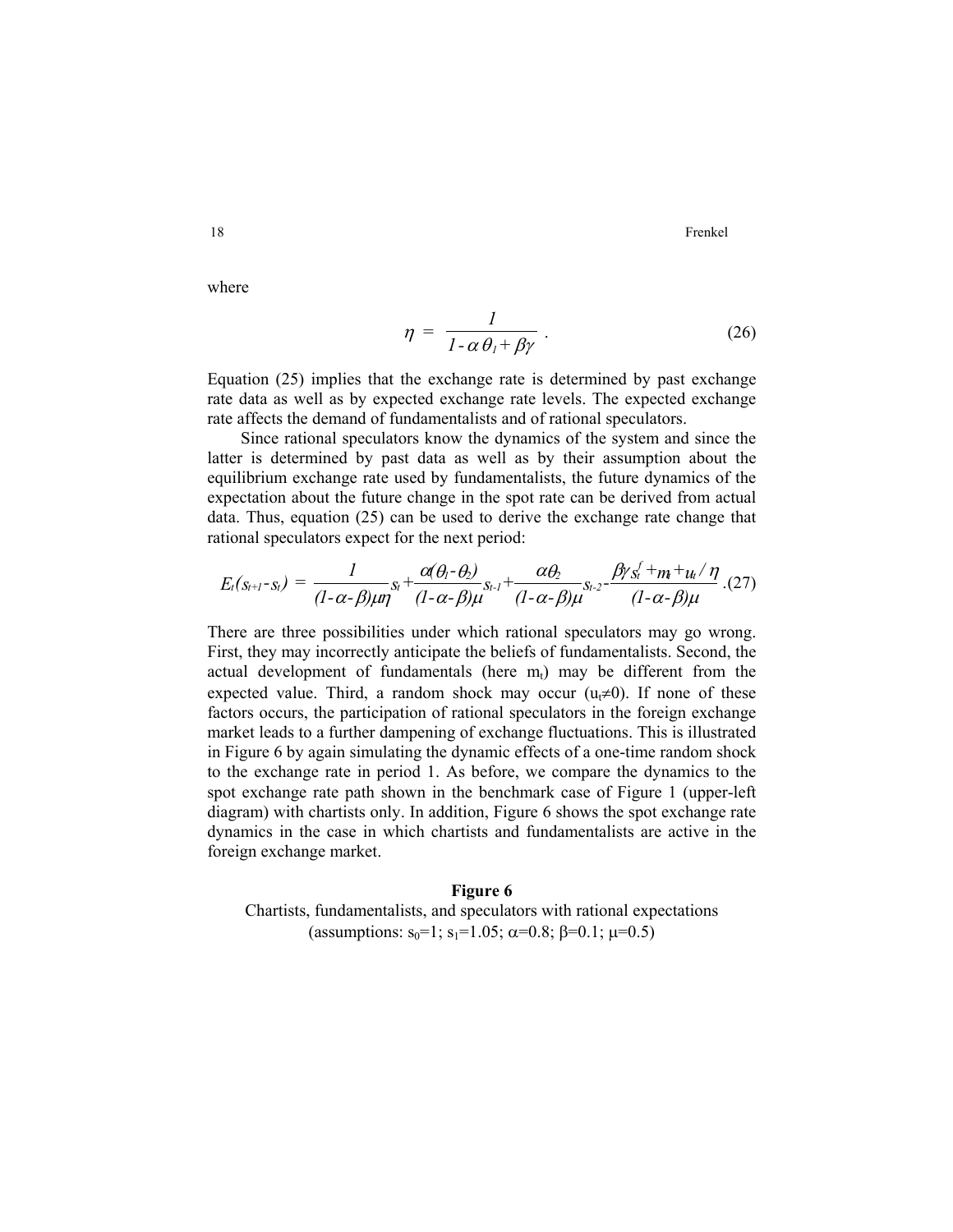where

$$
\eta = \frac{1}{1 - \alpha \theta_1 + \beta \gamma} \ . \tag{26}
$$

Equation (25) implies that the exchange rate is determined by past exchange rate data as well as by expected exchange rate levels. The expected exchange rate affects the demand of fundamentalists and of rational speculators.

Since rational speculators know the dynamics of the system and since the latter is determined by past data as well as by their assumption about the equilibrium exchange rate used by fundamentalists, the future dynamics of the expectation about the future change in the spot rate can be derived from actual data. Thus, equation (25) can be used to derive the exchange rate change that rational speculators expect for the next period:

$$
E_t(s_{t+1}-s_t)=\frac{1}{(1-\alpha-\beta)\mu\eta}s_t+\frac{\alpha(\theta_1-\theta_2)}{(1-\alpha-\beta)\mu}s_{t-1}+\frac{\alpha\theta_2}{(1-\alpha-\beta)\mu}s_{t-2}-\frac{\beta\gamma s_t^f+m+u_t/\eta}{(1-\alpha-\beta)\mu}.
$$
(27)

There are three possibilities under which rational speculators may go wrong. First, they may incorrectly anticipate the beliefs of fundamentalists. Second, the actual development of fundamentals (here  $m_t$ ) may be different from the expected value. Third, a random shock may occur  $(u \neq 0)$ . If none of these factors occurs, the participation of rational speculators in the foreign exchange market leads to a further dampening of exchange fluctuations. This is illustrated in Figure 6 by again simulating the dynamic effects of a one-time random shock to the exchange rate in period 1. As before, we compare the dynamics to the spot exchange rate path shown in the benchmark case of Figure 1 (upper-left diagram) with chartists only. In addition, Figure 6 shows the spot exchange rate dynamics in the case in which chartists and fundamentalists are active in the foreign exchange market.

#### **Figure 6**

Chartists, fundamentalists, and speculators with rational expectations (assumptions:  $s_0=1$ ;  $s_1=1.05$ ;  $\alpha=0.8$ ;  $\beta=0.1$ ;  $\mu=0.5$ )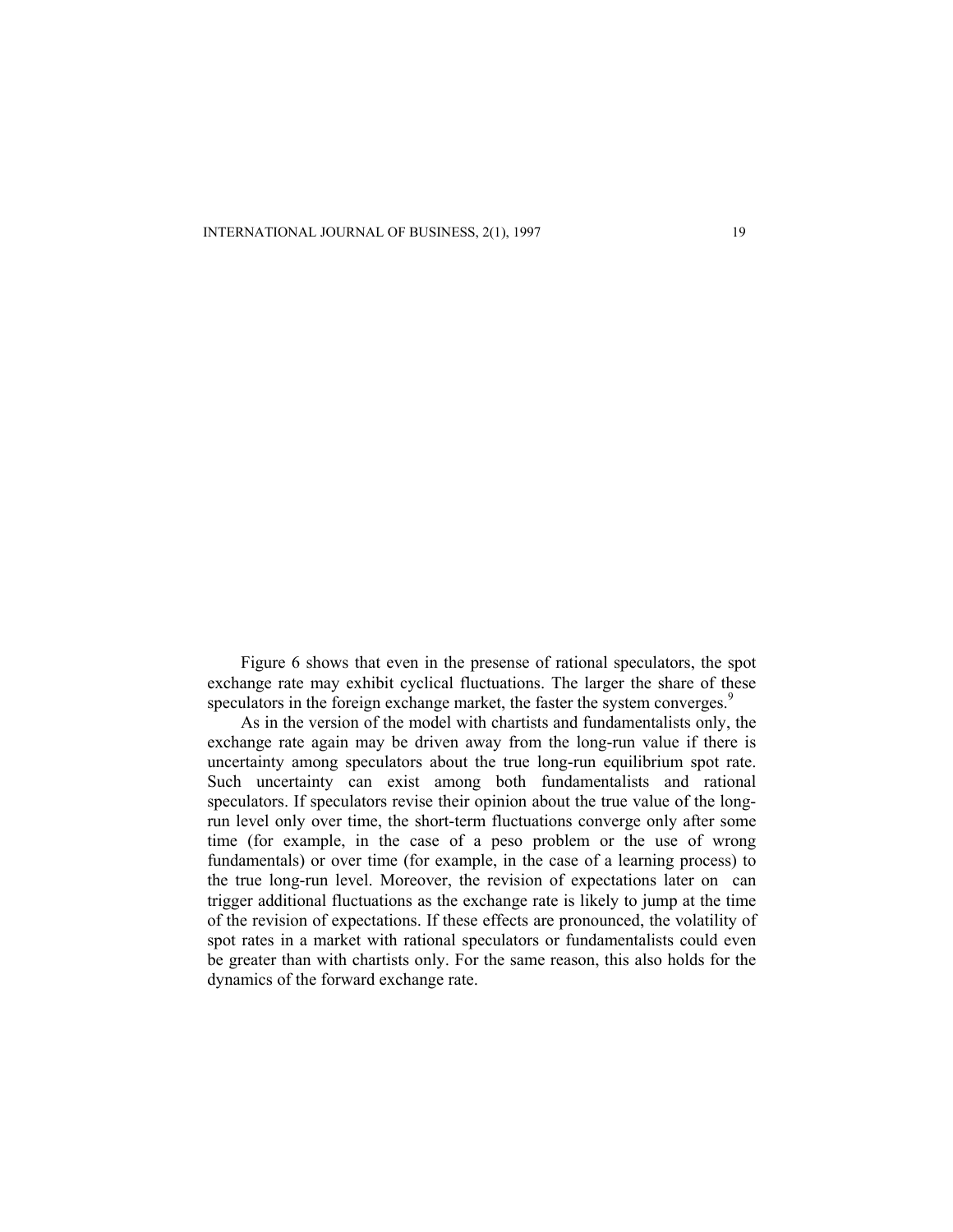Figure 6 shows that even in the presense of rational speculators, the spot exchange rate may exhibit cyclical fluctuations. The larger the share of these speculators in the foreign exchange market, the faster the system converges.<sup>9</sup>

As in the version of the model with chartists and fundamentalists only, the exchange rate again may be driven away from the long-run value if there is uncertainty among speculators about the true long-run equilibrium spot rate. Such uncertainty can exist among both fundamentalists and rational speculators. If speculators revise their opinion about the true value of the longrun level only over time, the short-term fluctuations converge only after some time (for example, in the case of a peso problem or the use of wrong fundamentals) or over time (for example, in the case of a learning process) to the true long-run level. Moreover, the revision of expectations later on can trigger additional fluctuations as the exchange rate is likely to jump at the time of the revision of expectations. If these effects are pronounced, the volatility of spot rates in a market with rational speculators or fundamentalists could even be greater than with chartists only. For the same reason, this also holds for the dynamics of the forward exchange rate.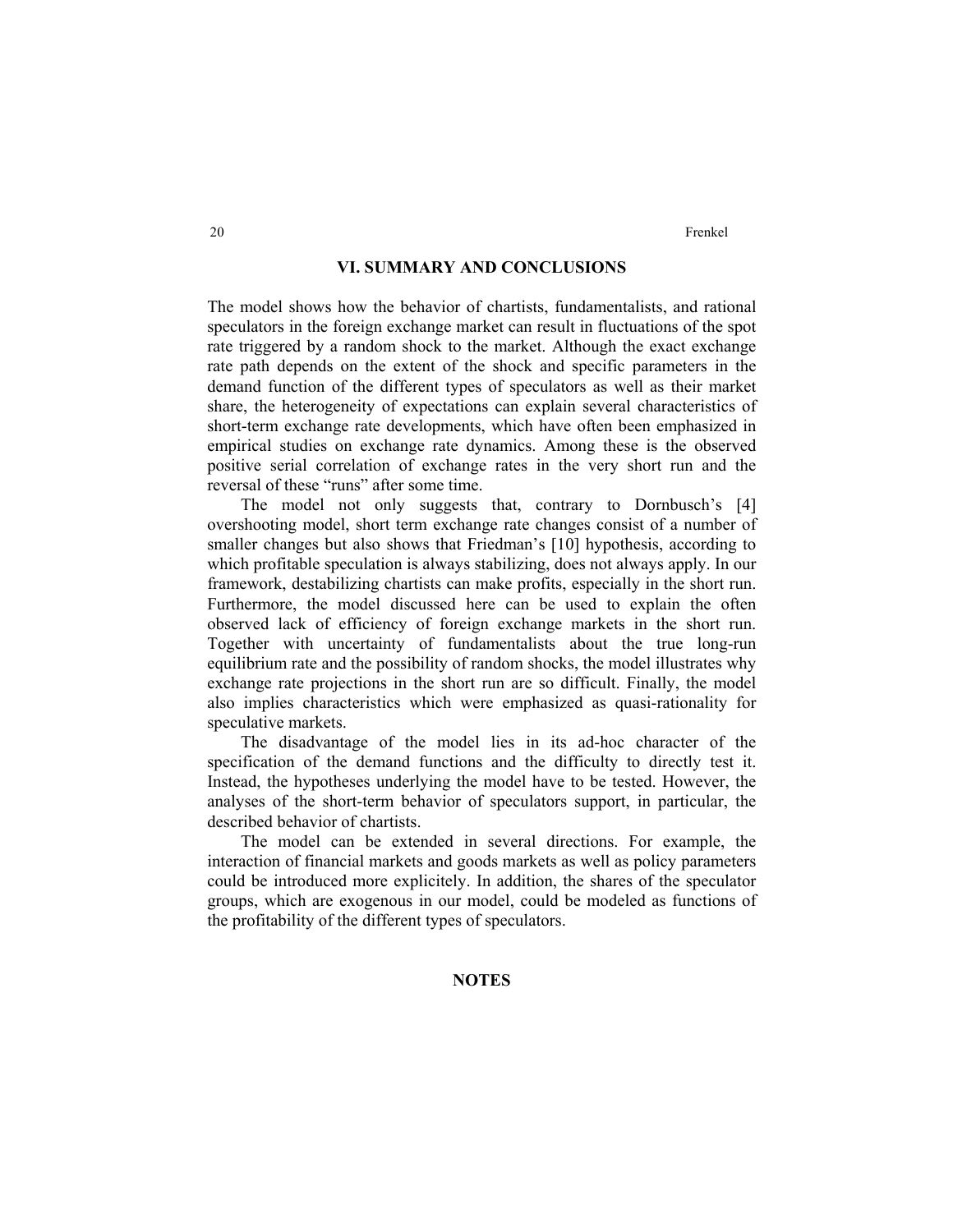#### **VI. SUMMARY AND CONCLUSIONS**

The model shows how the behavior of chartists, fundamentalists, and rational speculators in the foreign exchange market can result in fluctuations of the spot rate triggered by a random shock to the market. Although the exact exchange rate path depends on the extent of the shock and specific parameters in the demand function of the different types of speculators as well as their market share, the heterogeneity of expectations can explain several characteristics of short-term exchange rate developments, which have often been emphasized in empirical studies on exchange rate dynamics. Among these is the observed positive serial correlation of exchange rates in the very short run and the reversal of these "runs" after some time.

The model not only suggests that, contrary to Dornbusch's [4] overshooting model, short term exchange rate changes consist of a number of smaller changes but also shows that Friedman's [10] hypothesis, according to which profitable speculation is always stabilizing, does not always apply. In our framework, destabilizing chartists can make profits, especially in the short run. Furthermore, the model discussed here can be used to explain the often observed lack of efficiency of foreign exchange markets in the short run. Together with uncertainty of fundamentalists about the true long-run equilibrium rate and the possibility of random shocks, the model illustrates why exchange rate projections in the short run are so difficult. Finally, the model also implies characteristics which were emphasized as quasi-rationality for speculative markets.

The disadvantage of the model lies in its ad-hoc character of the specification of the demand functions and the difficulty to directly test it. Instead, the hypotheses underlying the model have to be tested. However, the analyses of the short-term behavior of speculators support, in particular, the described behavior of chartists.

The model can be extended in several directions. For example, the interaction of financial markets and goods markets as well as policy parameters could be introduced more explicitely. In addition, the shares of the speculator groups, which are exogenous in our model, could be modeled as functions of the profitability of the different types of speculators.

**NOTES**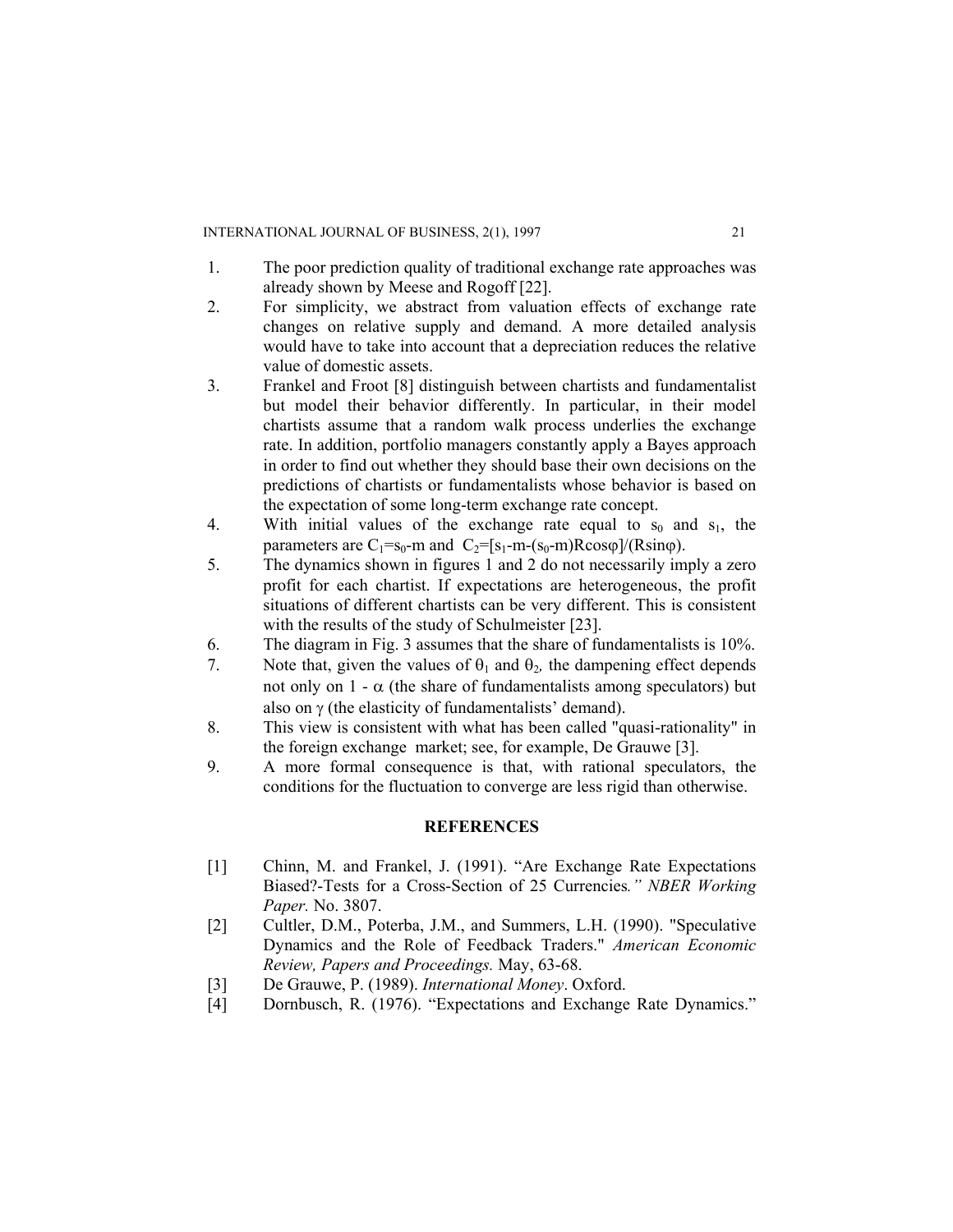- 1. The poor prediction quality of traditional exchange rate approaches was already shown by Meese and Rogoff [22].
- 2. For simplicity, we abstract from valuation effects of exchange rate changes on relative supply and demand. A more detailed analysis would have to take into account that a depreciation reduces the relative value of domestic assets.
- 3. Frankel and Froot [8] distinguish between chartists and fundamentalist but model their behavior differently. In particular, in their model chartists assume that a random walk process underlies the exchange rate. In addition, portfolio managers constantly apply a Bayes approach in order to find out whether they should base their own decisions on the predictions of chartists or fundamentalists whose behavior is based on the expectation of some long-term exchange rate concept.
- 4. With initial values of the exchange rate equal to  $s_0$  and  $s_1$ , the parameters are  $C_1 = s_0$ -m and  $C_2 = [s_1-m-(s_0-m)Rcos\phi]/(Rsin\phi)$ .
- 5. The dynamics shown in figures 1 and 2 do not necessarily imply a zero profit for each chartist. If expectations are heterogeneous, the profit situations of different chartists can be very different. This is consistent with the results of the study of Schulmeister [23].
- 6. The diagram in Fig. 3 assumes that the share of fundamentalists is 10%.
- 7. Note that, given the values of  $\theta_1$  and  $\theta_2$ , the dampening effect depends not only on  $1 - \alpha$  (the share of fundamentalists among speculators) but also on γ (the elasticity of fundamentalists' demand).
- 8. This view is consistent with what has been called "quasi-rationality" in the foreign exchange market; see, for example, De Grauwe [3].
- 9. A more formal consequence is that, with rational speculators, the conditions for the fluctuation to converge are less rigid than otherwise.

#### **REFERENCES**

- [1] Chinn, M. and Frankel, J. (1991). "Are Exchange Rate Expectations Biased?-Tests for a Cross-Section of 25 Currencies*." NBER Working Paper.* No. 3807.
- [2] Cultler, D.M., Poterba, J.M., and Summers, L.H. (1990). "Speculative Dynamics and the Role of Feedback Traders." *American Economic Review, Papers and Proceedings.* May, 63-68.
- [3] De Grauwe, P. (1989). *International Money*. Oxford.
- [4] Dornbusch, R. (1976). "Expectations and Exchange Rate Dynamics."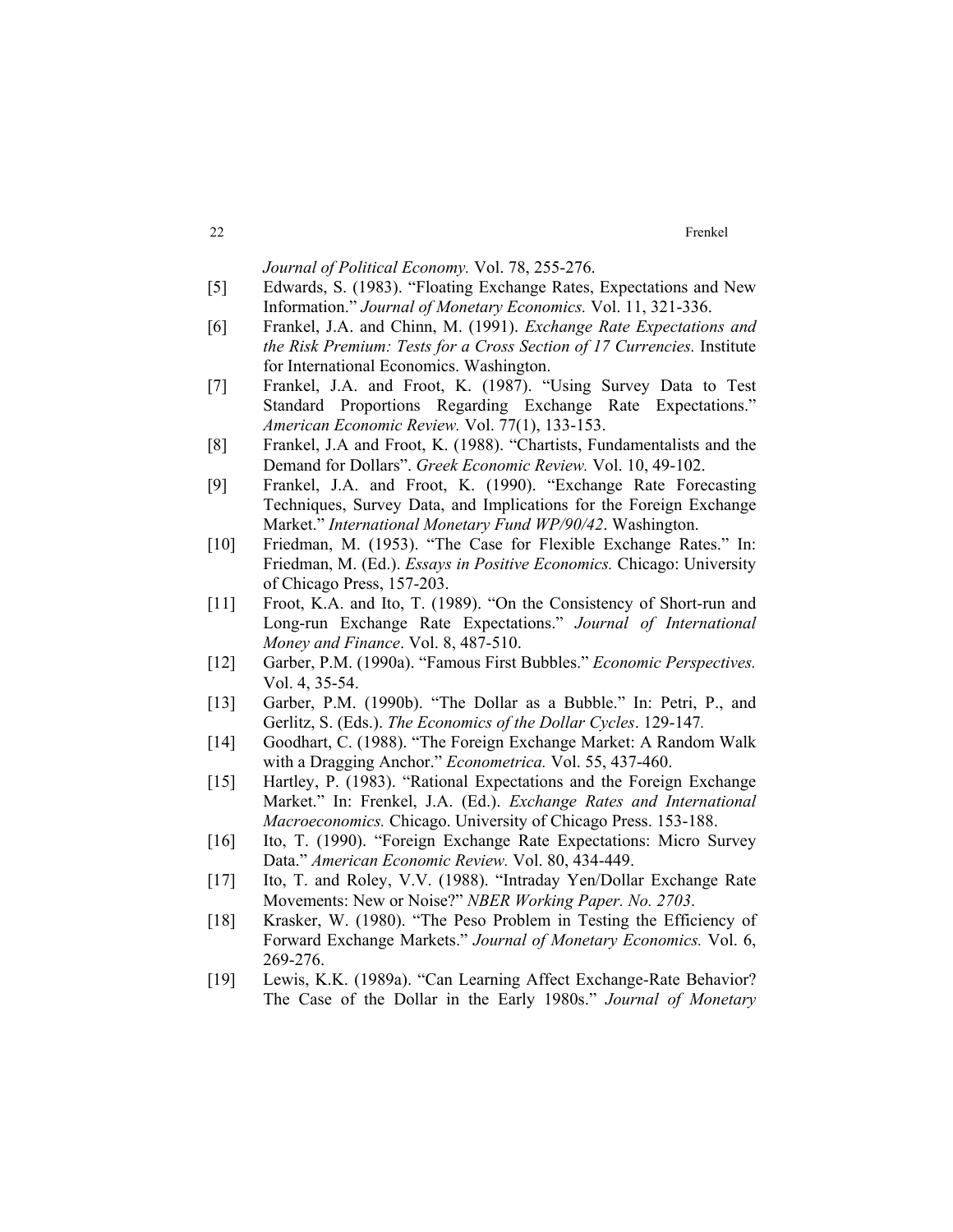*Journal of Political Economy.* Vol. 78, 255-276.

- [5] Edwards, S. (1983). "Floating Exchange Rates, Expectations and New Information." *Journal of Monetary Economics.* Vol. 11, 321-336.
- [6] Frankel, J.A. and Chinn, M. (1991). *Exchange Rate Expectations and the Risk Premium: Tests for a Cross Section of 17 Currencies.* Institute for International Economics. Washington.
- [7] Frankel, J.A. and Froot, K. (1987). "Using Survey Data to Test Standard Proportions Regarding Exchange Rate Expectations." *American Economic Review.* Vol. 77(1), 133-153.
- [8] Frankel, J.A and Froot, K. (1988). "Chartists, Fundamentalists and the Demand for Dollars". *Greek Economic Review.* Vol. 10, 49-102.
- [9] Frankel, J.A. and Froot, K. (1990). "Exchange Rate Forecasting Techniques, Survey Data, and Implications for the Foreign Exchange Market." *International Monetary Fund WP/90/42*. Washington.
- [10] Friedman, M. (1953). "The Case for Flexible Exchange Rates." In: Friedman, M. (Ed.). *Essays in Positive Economics.* Chicago: University of Chicago Press, 157-203.
- [11] Froot, K.A. and Ito, T. (1989). "On the Consistency of Short-run and Long-run Exchange Rate Expectations." *Journal of International Money and Finance*. Vol. 8, 487-510.
- [12] Garber, P.M. (1990a). "Famous First Bubbles." *Economic Perspectives.* Vol. 4, 35-54.
- [13] Garber, P.M. (1990b). "The Dollar as a Bubble." In: Petri, P., and Gerlitz, S. (Eds.). *The Economics of the Dollar Cycles*. 129-147*.*
- [14] Goodhart, C. (1988). "The Foreign Exchange Market: A Random Walk with a Dragging Anchor." *Econometrica.* Vol. 55, 437-460.
- [15] Hartley, P. (1983). "Rational Expectations and the Foreign Exchange Market." In: Frenkel, J.A. (Ed.). *Exchange Rates and International Macroeconomics.* Chicago. University of Chicago Press. 153-188.
- [16] Ito, T. (1990). "Foreign Exchange Rate Expectations: Micro Survey Data." *American Economic Review.* Vol. 80, 434-449.
- [17] Ito, T. and Roley, V.V. (1988). "Intraday Yen/Dollar Exchange Rate Movements: New or Noise?" *NBER Working Paper. No. 2703*.
- [18] Krasker, W. (1980). "The Peso Problem in Testing the Efficiency of Forward Exchange Markets." *Journal of Monetary Economics.* Vol. 6, 269-276.
- [19] Lewis, K.K. (1989a). "Can Learning Affect Exchange-Rate Behavior? The Case of the Dollar in the Early 1980s." *Journal of Monetary*